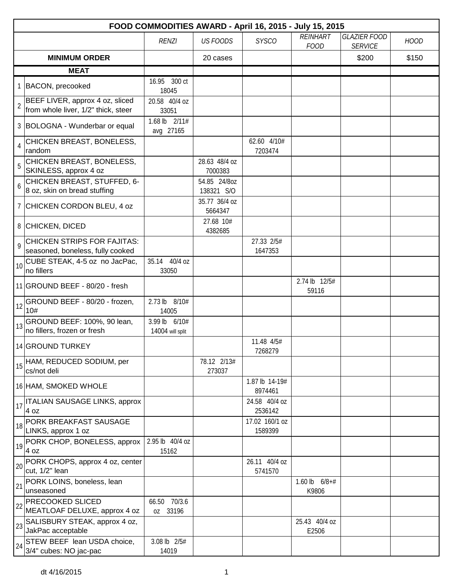|                |                                                                        |                                   |                            | FOOD COMMODITIES AWARD - April 16, 2015 - July 15, 2015 |                                |                                       |             |
|----------------|------------------------------------------------------------------------|-----------------------------------|----------------------------|---------------------------------------------------------|--------------------------------|---------------------------------------|-------------|
|                |                                                                        | <b>RENZI</b>                      | <b>US FOODS</b>            | <b>SYSCO</b>                                            | <b>REINHART</b><br><b>FOOD</b> | <b>GLAZIER FOOD</b><br><b>SERVICE</b> | <b>HOOD</b> |
|                | <b>MINIMUM ORDER</b>                                                   |                                   | 20 cases                   |                                                         |                                | \$200                                 | \$150       |
|                | <b>MEAT</b>                                                            |                                   |                            |                                                         |                                |                                       |             |
|                | 1 BACON, precooked                                                     | 16.95 300 ct<br>18045             |                            |                                                         |                                |                                       |             |
| $\overline{2}$ | BEEF LIVER, approx 4 oz, sliced<br>from whole liver, 1/2" thick, steer | 20.58 40/4 oz<br>33051            |                            |                                                         |                                |                                       |             |
|                | 3 BOLOGNA - Wunderbar or equal                                         | 1.68 lb 2/11#<br>avg 27165        |                            |                                                         |                                |                                       |             |
| $\overline{4}$ | CHICKEN BREAST, BONELESS,<br>random                                    |                                   |                            | 62.60 4/10#<br>7203474                                  |                                |                                       |             |
| 5              | CHICKEN BREAST, BONELESS,<br>SKINLESS, approx 4 oz                     |                                   | 28.63 48/4 oz<br>7000383   |                                                         |                                |                                       |             |
| 6              | CHICKEN BREAST, STUFFED, 6-<br>8 oz, skin on bread stuffing            |                                   | 54.85 24/80Z<br>138321 S/O |                                                         |                                |                                       |             |
|                | 7 CHICKEN CORDON BLEU, 4 oz                                            |                                   | 35.77 36/4 oz<br>5664347   |                                                         |                                |                                       |             |
|                | 8 CHICKEN, DICED                                                       |                                   | 27.68 10#<br>4382685       |                                                         |                                |                                       |             |
| 9              | <b>CHICKEN STRIPS FOR FAJITAS:</b><br>seasoned, boneless, fully cooked |                                   |                            | 27.33 2/5#<br>1647353                                   |                                |                                       |             |
| 10             | CUBE STEAK, 4-5 oz no JacPac,<br>no fillers                            | 35.14 40/4 oz<br>33050            |                            |                                                         |                                |                                       |             |
|                | 11 GROUND BEEF - 80/20 - fresh                                         |                                   |                            |                                                         | 2.74 lb 12/5#<br>59116         |                                       |             |
| 12             | GROUND BEEF - 80/20 - frozen,<br>10#                                   | 2.73 lb 8/10#<br>14005            |                            |                                                         |                                |                                       |             |
| 13             | GROUND BEEF: 100%, 90 lean,<br>no fillers, frozen or fresh             | 3.99 lb 6/10#<br>14004 will split |                            |                                                         |                                |                                       |             |
|                | 14 GROUND TURKEY                                                       |                                   |                            | 11.48 4/5#<br>7268279                                   |                                |                                       |             |
| 15             | HAM, REDUCED SODIUM, per<br>cs/not deli                                |                                   | 78.12 2/13#<br>273037      |                                                         |                                |                                       |             |
|                | 16 HAM, SMOKED WHOLE                                                   |                                   |                            | 1.87 lb 14-19#<br>8974461                               |                                |                                       |             |
| 17             | <b>ITALIAN SAUSAGE LINKS, approx</b><br>4 oz                           |                                   |                            | 24.58 40/4 oz<br>2536142                                |                                |                                       |             |
| 18             | PORK BREAKFAST SAUSAGE<br>LINKS, approx 1 oz                           |                                   |                            | 17.02 160/1 oz<br>1589399                               |                                |                                       |             |
|                | 19 PORK CHOP, BONELESS, approx<br>4 oz                                 | 2.95 lb 40/4 oz<br>15162          |                            |                                                         |                                |                                       |             |
| 20             | PORK CHOPS, approx 4 oz, center<br>cut, 1/2" lean                      |                                   |                            | 26.11 40/4 oz<br>5741570                                |                                |                                       |             |
| 21             | PORK LOINS, boneless, lean<br>unseasoned                               |                                   |                            |                                                         | 1.60 lb $6/8+#$<br>K9806       |                                       |             |
| 22             | <b>PRECOOKED SLICED</b><br>MEATLOAF DELUXE, approx 4 oz                | 66.50 70/3.6<br>oz 33196          |                            |                                                         |                                |                                       |             |
| 23             | SALISBURY STEAK, approx 4 oz,<br>JakPac acceptable                     |                                   |                            |                                                         | 25.43 40/4 oz<br>E2506         |                                       |             |
|                | 24 STEW BEEF lean USDA choice,<br>3/4" cubes: NO jac-pac               | 3.08 lb 2/5#<br>14019             |                            |                                                         |                                |                                       |             |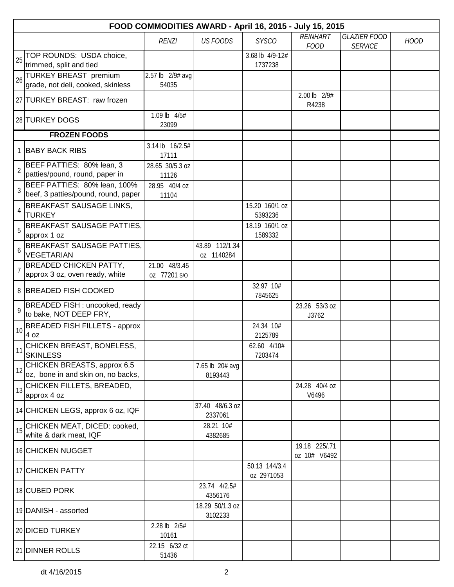|                 | FOOD COMMODITIES AWARD - April 16, 2015 - July 15, 2015             |                          |                              |                             |                               |                     |             |  |  |
|-----------------|---------------------------------------------------------------------|--------------------------|------------------------------|-----------------------------|-------------------------------|---------------------|-------------|--|--|
|                 |                                                                     | <b>RENZI</b>             | <b>US FOODS</b>              | <b>SYSCO</b>                | <b>REINHART</b>               | <b>GLAZIER FOOD</b> | <b>HOOD</b> |  |  |
|                 | TOP ROUNDS: USDA choice,                                            |                          |                              | 3.68 lb 4/9-12#             | <b>FOOD</b>                   | <b>SERVICE</b>      |             |  |  |
| 25              | trimmed, split and tied                                             |                          |                              | 1737238                     |                               |                     |             |  |  |
| 26              | <b>TURKEY BREAST premium</b>                                        | 2.57 lb 2/9# avg         |                              |                             |                               |                     |             |  |  |
|                 | grade, not deli, cooked, skinless                                   | 54035                    |                              |                             |                               |                     |             |  |  |
|                 | 27 TURKEY BREAST: raw frozen                                        |                          |                              |                             | 2.00 lb 2/9#<br>R4238         |                     |             |  |  |
|                 | 28 TURKEY DOGS                                                      | 1.09 lb 4/5#<br>23099    |                              |                             |                               |                     |             |  |  |
|                 | <b>FROZEN FOODS</b>                                                 |                          |                              |                             |                               |                     |             |  |  |
|                 | 1 BABY BACK RIBS                                                    | 3.14 lb 16/2.5#<br>17111 |                              |                             |                               |                     |             |  |  |
| $\sqrt{2}$      | BEEF PATTIES: 80% lean, 3                                           | 28.65 30/5.3 oz          |                              |                             |                               |                     |             |  |  |
|                 | patties/pound, round, paper in                                      | 11126                    |                              |                             |                               |                     |             |  |  |
| $\mathfrak{Z}$  | BEEF PATTIES: 80% lean, 100%<br>beef, 3 patties/pound, round, paper | 28.95 40/4 oz            |                              |                             |                               |                     |             |  |  |
|                 | <b>BREAKFAST SAUSAGE LINKS,</b>                                     | 11104                    |                              | 15.20 160/1 oz              |                               |                     |             |  |  |
| 4               | <b>TURKEY</b>                                                       |                          |                              | 5393236                     |                               |                     |             |  |  |
| 5               | <b>BREAKFAST SAUSAGE PATTIES,</b>                                   |                          |                              | 18.19 160/1 oz              |                               |                     |             |  |  |
|                 | approx 1 oz                                                         |                          |                              | 1589332                     |                               |                     |             |  |  |
| 6               | <b>BREAKFAST SAUSAGE PATTIES,</b><br><b>VEGETARIAN</b>              |                          | 43.89 112/1.34<br>oz 1140284 |                             |                               |                     |             |  |  |
|                 | <b>BREADED CHICKEN PATTY,</b>                                       | 21.00 48/3.45            |                              |                             |                               |                     |             |  |  |
|                 | approx 3 oz, oven ready, white                                      | 0Z 77201 S/O             |                              |                             |                               |                     |             |  |  |
|                 | 8 BREADED FISH COOKED                                               |                          |                              | 32.97 10#<br>7845625        |                               |                     |             |  |  |
| 9               | BREADED FISH : uncooked, ready                                      |                          |                              |                             | 23.26 53/3 oz                 |                     |             |  |  |
|                 | to bake, NOT DEEP FRY,                                              |                          |                              |                             | J3762                         |                     |             |  |  |
| 10              | <b>BREADED FISH FILLETS - approx</b><br>4 oz                        |                          |                              | 24.34 10#<br>2125789        |                               |                     |             |  |  |
| $\overline{11}$ | CHICKEN BREAST, BONELESS,<br><b>SKINLESS</b>                        |                          |                              | 62.60 4/10#<br>7203474      |                               |                     |             |  |  |
| 12              | CHICKEN BREASTS, approx 6.5<br>oz, bone in and skin on, no backs,   |                          | 7.65 lb 20# avg<br>8193443   |                             |                               |                     |             |  |  |
| 13              | CHICKEN FILLETS, BREADED,<br>approx 4 oz                            |                          |                              |                             | 24.28 40/4 oz<br>V6496        |                     |             |  |  |
|                 | 14 CHICKEN LEGS, approx 6 oz, IQF                                   |                          | 37.40 48/6.3 oz<br>2337061   |                             |                               |                     |             |  |  |
|                 | CHICKEN MEAT, DICED: cooked,                                        |                          | 28.21 10#                    |                             |                               |                     |             |  |  |
| 15              | white & dark meat, IQF                                              |                          | 4382685                      |                             |                               |                     |             |  |  |
|                 | 16 CHICKEN NUGGET                                                   |                          |                              |                             | 19.18 225/.71<br>oz 10# V6492 |                     |             |  |  |
|                 | 17 CHICKEN PATTY                                                    |                          |                              | 50.13 144/3.4<br>oz 2971053 |                               |                     |             |  |  |
|                 | 18 CUBED PORK                                                       |                          | 23.74 4/2.5#<br>4356176      |                             |                               |                     |             |  |  |
|                 | 19 DANISH - assorted                                                |                          | 18.29 50/1.3 oz<br>3102233   |                             |                               |                     |             |  |  |
|                 | 20 DICED TURKEY                                                     | 2.28 lb 2/5#<br>10161    |                              |                             |                               |                     |             |  |  |
|                 | 21 DINNER ROLLS                                                     | 22.15 6/32 ct<br>51436   |                              |                             |                               |                     |             |  |  |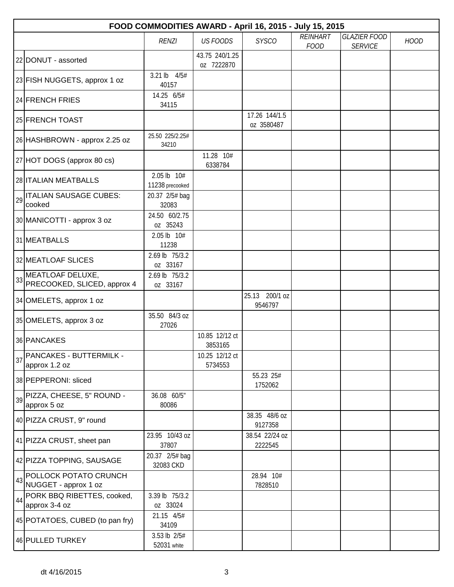|    | FOOD COMMODITIES AWARD - April 16, 2015 - July 15, 2015 |                                |                              |                             |                                |                                       |             |  |  |  |
|----|---------------------------------------------------------|--------------------------------|------------------------------|-----------------------------|--------------------------------|---------------------------------------|-------------|--|--|--|
|    |                                                         | <b>RENZI</b>                   | <b>US FOODS</b>              | <b>SYSCO</b>                | <b>REINHART</b><br><b>FOOD</b> | <b>GLAZIER FOOD</b><br><b>SERVICE</b> | <b>HOOD</b> |  |  |  |
|    | 22 DONUT - assorted                                     |                                | 43.75 240/1.25<br>oz 7222870 |                             |                                |                                       |             |  |  |  |
|    | 23 FISH NUGGETS, approx 1 oz                            | $3.21$ lb<br>4/5#<br>40157     |                              |                             |                                |                                       |             |  |  |  |
|    | 24 FRENCH FRIES                                         | 14.25 6/5#<br>34115            |                              |                             |                                |                                       |             |  |  |  |
|    | 25 FRENCH TOAST                                         |                                |                              | 17.26 144/1.5<br>oz 3580487 |                                |                                       |             |  |  |  |
|    | 26 HASHBROWN - approx 2.25 oz                           | 25.50 225/2.25#<br>34210       |                              |                             |                                |                                       |             |  |  |  |
|    | 27 HOT DOGS (approx 80 cs)                              |                                | 11.28 10#<br>6338784         |                             |                                |                                       |             |  |  |  |
|    | 28 <b>ITALIAN MEATBALLS</b>                             | 2.05 lb 10#<br>11238 precooked |                              |                             |                                |                                       |             |  |  |  |
| 29 | <b>ITALIAN SAUSAGE CUBES:</b><br>cooked                 | 20.37 2/5# bag<br>32083        |                              |                             |                                |                                       |             |  |  |  |
|    | 30 MANICOTTI - approx 3 oz                              | 24.50 60/2.75<br>oz 35243      |                              |                             |                                |                                       |             |  |  |  |
|    | 31 MEATBALLS                                            | 2.05 lb 10#<br>11238           |                              |                             |                                |                                       |             |  |  |  |
|    | 32 MEATLOAF SLICES                                      | 2.69 lb 75/3.2<br>oz 33167     |                              |                             |                                |                                       |             |  |  |  |
| 33 | MEATLOAF DELUXE,<br>PRECOOKED, SLICED, approx 4         | 2.69 lb 75/3.2<br>oz 33167     |                              |                             |                                |                                       |             |  |  |  |
|    | 34 OMELETS, approx 1 oz                                 |                                |                              | 25.13 200/1 oz<br>9546797   |                                |                                       |             |  |  |  |
|    | 35 OMELETS, approx 3 oz                                 | 35.50 84/3 oz<br>27026         |                              |                             |                                |                                       |             |  |  |  |
|    | 36 PANCAKES                                             |                                | 10.85 12/12 ct<br>3853165    |                             |                                |                                       |             |  |  |  |
| 37 | PANCAKES - BUTTERMILK -<br>approx 1.2 oz                |                                | 10.25 12/12 ct<br>5734553    |                             |                                |                                       |             |  |  |  |
|    | 38 PEPPERONI: sliced                                    |                                |                              | 55.23 25#<br>1752062        |                                |                                       |             |  |  |  |
| 39 | PIZZA, CHEESE, 5" ROUND -<br>approx 5 oz                | 36.08 60/5"<br>80086           |                              |                             |                                |                                       |             |  |  |  |
|    | 40 PIZZA CRUST, 9" round                                |                                |                              | 38.35 48/6 oz<br>9127358    |                                |                                       |             |  |  |  |
|    | 41 PIZZA CRUST, sheet pan                               | 23.95 10/43 oz<br>37807        |                              | 38.54 22/24 oz<br>2222545   |                                |                                       |             |  |  |  |
|    | 42 PIZZA TOPPING, SAUSAGE                               | 20.37 2/5# bag<br>32083 CKD    |                              |                             |                                |                                       |             |  |  |  |
| 43 | POLLOCK POTATO CRUNCH<br>NUGGET - approx 1 oz           |                                |                              | 28.94 10#<br>7828510        |                                |                                       |             |  |  |  |
| 44 | PORK BBQ RIBETTES, cooked,<br>approx 3-4 oz             | 3.39 lb 75/3.2<br>oz 33024     |                              |                             |                                |                                       |             |  |  |  |
|    | 45 POTATOES, CUBED (to pan fry)                         | 21.15 4/5#<br>34109            |                              |                             |                                |                                       |             |  |  |  |
|    | 46 PULLED TURKEY                                        | 3.53 lb 2/5#<br>52031 white    |                              |                             |                                |                                       |             |  |  |  |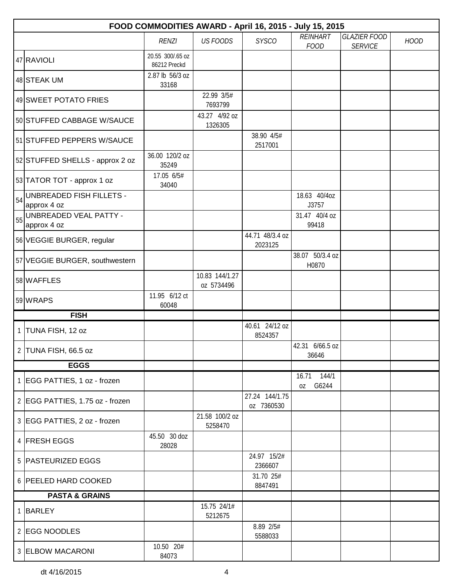|          | FOOD COMMODITIES AWARD - April 16, 2015 - July 15, 2015             |                                  |                              |                              |                            |                                       |             |  |  |  |
|----------|---------------------------------------------------------------------|----------------------------------|------------------------------|------------------------------|----------------------------|---------------------------------------|-------------|--|--|--|
|          |                                                                     | <b>RENZI</b>                     | <b>US FOODS</b>              | <b>SYSCO</b>                 | REINHART<br><b>FOOD</b>    | <b>GLAZIER FOOD</b><br><b>SERVICE</b> | <b>HOOD</b> |  |  |  |
|          | 47 RAVIOLI                                                          | 20.55 300/.65 oz<br>86212 Preckd |                              |                              |                            |                                       |             |  |  |  |
|          | 48 STEAK UM                                                         | 2.87 lb 56/3 oz<br>33168         |                              |                              |                            |                                       |             |  |  |  |
|          | 49 SWEET POTATO FRIES                                               |                                  | 22.99 3/5#<br>7693799        |                              |                            |                                       |             |  |  |  |
|          | 50 STUFFED CABBAGE W/SAUCE                                          |                                  | 43.27 4/92 oz<br>1326305     |                              |                            |                                       |             |  |  |  |
|          | 51 STUFFED PEPPERS W/SAUCE                                          |                                  |                              | 38.90 4/5#<br>2517001        |                            |                                       |             |  |  |  |
|          | 52 STUFFED SHELLS - approx 2 oz                                     | 36.00 120/2 oz<br>35249          |                              |                              |                            |                                       |             |  |  |  |
|          | 53 TATOR TOT - approx 1 oz                                          | 17.05 6/5#<br>34040              |                              |                              |                            |                                       |             |  |  |  |
| 54       | UNBREADED FISH FILLETS -<br>approx 4 oz                             |                                  |                              |                              | 18.63 40/4oz<br>J3757      |                                       |             |  |  |  |
|          | $\left  \frac{1}{55} \right $ UNBREADED VEAL PATTY -<br>approx 4 oz |                                  |                              |                              | 31.47 40/4 oz<br>99418     |                                       |             |  |  |  |
|          | 56 VEGGIE BURGER, regular                                           |                                  |                              | 44.71 48/3.4 oz<br>2023125   |                            |                                       |             |  |  |  |
|          | 57 VEGGIE BURGER, southwestern                                      |                                  |                              |                              | 38.07 50/3.4 oz<br>H0870   |                                       |             |  |  |  |
|          | 58 WAFFLES                                                          |                                  | 10.83 144/1.27<br>oz 5734496 |                              |                            |                                       |             |  |  |  |
|          | 59 WRAPS                                                            | 11.95 6/12 ct<br>60048           |                              |                              |                            |                                       |             |  |  |  |
|          | <b>FISH</b>                                                         |                                  |                              |                              |                            |                                       |             |  |  |  |
| $1 \mid$ | TUNA FISH, 12 oz                                                    |                                  |                              | 40.61 24/12 oz<br>8524357    |                            |                                       |             |  |  |  |
|          | 2 TUNA FISH, 66.5 oz                                                |                                  |                              |                              | 42.31 6/66.5 oz<br>36646   |                                       |             |  |  |  |
|          | <b>EGGS</b>                                                         |                                  |                              |                              |                            |                                       |             |  |  |  |
|          | 1 EGG PATTIES, 1 oz - frozen                                        |                                  |                              |                              | 144/1<br>16.71<br>oz G6244 |                                       |             |  |  |  |
|          | 2 EGG PATTIES, 1.75 oz - frozen                                     |                                  |                              | 27.24 144/1.75<br>oz 7360530 |                            |                                       |             |  |  |  |
|          | 3 EGG PATTIES, 2 oz - frozen                                        |                                  | 21.58 100/2 oz<br>5258470    |                              |                            |                                       |             |  |  |  |
|          | 4 FRESH EGGS                                                        | 45.50 30 doz<br>28028            |                              |                              |                            |                                       |             |  |  |  |
|          | 5 PASTEURIZED EGGS                                                  |                                  |                              | 24.97 15/2#<br>2366607       |                            |                                       |             |  |  |  |
|          | 6 PEELED HARD COOKED                                                |                                  |                              | 31.70 25#<br>8847491         |                            |                                       |             |  |  |  |
|          | <b>PASTA &amp; GRAINS</b>                                           |                                  |                              |                              |                            |                                       |             |  |  |  |
|          | 1 BARLEY                                                            |                                  | 15.75 24/1#<br>5212675       |                              |                            |                                       |             |  |  |  |
|          | 2 EGG NOODLES                                                       |                                  |                              | 8.89 2/5#<br>5588033         |                            |                                       |             |  |  |  |
|          | 3 ELBOW MACARONI                                                    | 10.50 20#<br>84073               |                              |                              |                            |                                       |             |  |  |  |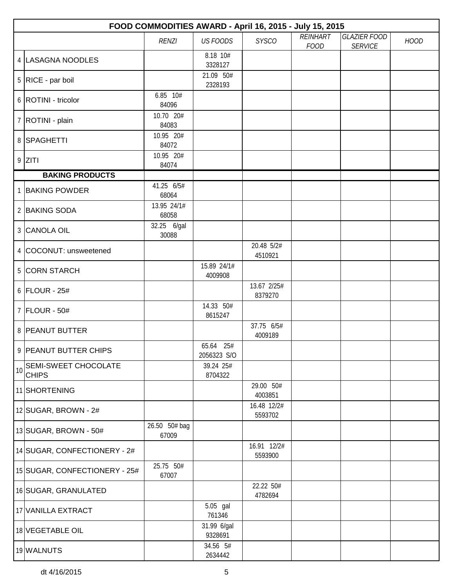|    | FOOD COMMODITIES AWARD - April 16, 2015 - July 15, 2015 |                        |                          |                        |                 |                     |             |  |  |
|----|---------------------------------------------------------|------------------------|--------------------------|------------------------|-----------------|---------------------|-------------|--|--|
|    |                                                         | <b>RENZI</b>           | <b>US FOODS</b>          | <b>SYSCO</b>           | <b>REINHART</b> | <b>GLAZIER FOOD</b> | <b>HOOD</b> |  |  |
|    |                                                         |                        | 8.18 10#                 |                        | <b>FOOD</b>     | <b>SERVICE</b>      |             |  |  |
|    | 4   LASAGNA NOODLES                                     |                        | 3328127                  |                        |                 |                     |             |  |  |
|    | $5   RICE - par$ boil                                   |                        | 21.09 50#<br>2328193     |                        |                 |                     |             |  |  |
|    | 6   ROTINI - tricolor                                   | 6.85 10#<br>84096      |                          |                        |                 |                     |             |  |  |
|    | 7   ROTINI - plain                                      | 10.70 20#<br>84083     |                          |                        |                 |                     |             |  |  |
|    | 8 SPAGHETTI                                             | 10.95 20#<br>84072     |                          |                        |                 |                     |             |  |  |
|    | $9$ ZITI                                                | 10.95 20#<br>84074     |                          |                        |                 |                     |             |  |  |
|    | <b>BAKING PRODUCTS</b>                                  |                        |                          |                        |                 |                     |             |  |  |
|    | 1 BAKING POWDER                                         | 41.25 6/5#<br>68064    |                          |                        |                 |                     |             |  |  |
|    | 2 BAKING SODA                                           | 13.95 24/1#<br>68058   |                          |                        |                 |                     |             |  |  |
|    | 3 CANOLA OIL                                            | 32.25 6/gal<br>30088   |                          |                        |                 |                     |             |  |  |
|    | 4 COCONUT: unsweetened                                  |                        |                          | 20.48 5/2#<br>4510921  |                 |                     |             |  |  |
|    | 5 CORN STARCH                                           |                        | 15.89 24/1#<br>4009908   |                        |                 |                     |             |  |  |
|    | $6$ FLOUR - 25#                                         |                        |                          | 13.67 2/25#<br>8379270 |                 |                     |             |  |  |
|    | 7 FLOUR - 50#                                           |                        | 14.33 50#<br>8615247     |                        |                 |                     |             |  |  |
|    | 8 PEANUT BUTTER                                         |                        |                          | 37.75 6/5#<br>4009189  |                 |                     |             |  |  |
|    | 9 PEANUT BUTTER CHIPS                                   |                        | 65.64 25#<br>2056323 S/O |                        |                 |                     |             |  |  |
| 10 | SEMI-SWEET CHOCOLATE<br><b>CHIPS</b>                    |                        | 39.24 25#<br>8704322     |                        |                 |                     |             |  |  |
|    | 11 SHORTENING                                           |                        |                          | 29.00 50#<br>4003851   |                 |                     |             |  |  |
|    | 12 SUGAR, BROWN - 2#                                    |                        |                          | 16.48 12/2#<br>5593702 |                 |                     |             |  |  |
|    | 13 SUGAR, BROWN - 50#                                   | 26.50 50# bag<br>67009 |                          |                        |                 |                     |             |  |  |
|    | 14 SUGAR, CONFECTIONERY - 2#                            |                        |                          | 16.91 12/2#<br>5593900 |                 |                     |             |  |  |
|    | 15 SUGAR, CONFECTIONERY - 25#                           | 25.75 50#<br>67007     |                          |                        |                 |                     |             |  |  |
|    | 16 SUGAR, GRANULATED                                    |                        |                          | 22.22 50#<br>4782694   |                 |                     |             |  |  |
|    | 17 VANILLA EXTRACT                                      |                        | 5.05 gal<br>761346       |                        |                 |                     |             |  |  |
|    | 18 VEGETABLE OIL                                        |                        | 31.99 6/gal<br>9328691   |                        |                 |                     |             |  |  |
|    | 19 WALNUTS                                              |                        | 34.56 5#<br>2634442      |                        |                 |                     |             |  |  |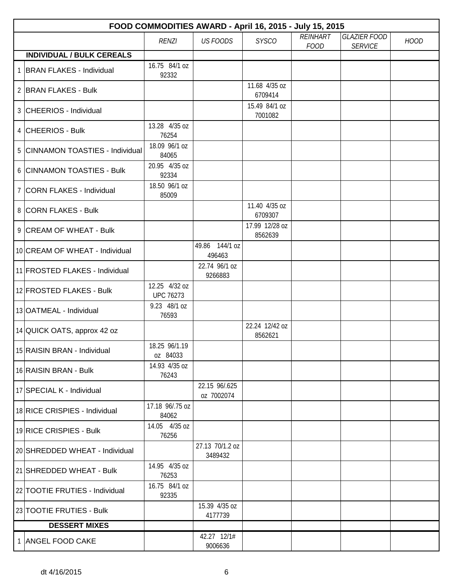| FOOD COMMODITIES AWARD - April 16, 2015 - July 15, 2015 |                                   |                             |                           |                                |                                       |             |  |  |
|---------------------------------------------------------|-----------------------------------|-----------------------------|---------------------------|--------------------------------|---------------------------------------|-------------|--|--|
|                                                         | <b>RENZI</b>                      | <b>US FOODS</b>             | <b>SYSCO</b>              | <b>REINHART</b><br><b>FOOD</b> | <b>GLAZIER FOOD</b><br><b>SERVICE</b> | <b>HOOD</b> |  |  |
| <b>INDIVIDUAL / BULK CEREALS</b>                        |                                   |                             |                           |                                |                                       |             |  |  |
| 1 BRAN FLAKES - Individual                              | 16.75 84/1 oz<br>92332            |                             |                           |                                |                                       |             |  |  |
| 2 BRAN FLAKES - Bulk                                    |                                   |                             | 11.68 4/35 oz<br>6709414  |                                |                                       |             |  |  |
| 3 CHEERIOS - Individual                                 |                                   |                             | 15.49 84/1 oz<br>7001082  |                                |                                       |             |  |  |
| 4 CHEERIOS - Bulk                                       | 13.28 4/35 oz<br>76254            |                             |                           |                                |                                       |             |  |  |
| 5 CINNAMON TOASTIES - Individual                        | 18.09 96/1 oz<br>84065            |                             |                           |                                |                                       |             |  |  |
| 6 CINNAMON TOASTIES - Bulk                              | 20.95 4/35 oz<br>92334            |                             |                           |                                |                                       |             |  |  |
| 7 CORN FLAKES - Individual                              | 18.50 96/1 oz<br>85009            |                             |                           |                                |                                       |             |  |  |
| 8 CORN FLAKES - Bulk                                    |                                   |                             | 11.40 4/35 oz<br>6709307  |                                |                                       |             |  |  |
| 9 CREAM OF WHEAT - Bulk                                 |                                   |                             | 17.99 12/28 oz<br>8562639 |                                |                                       |             |  |  |
| 10 CREAM OF WHEAT - Individual                          |                                   | 49.86 144/1 oz<br>496463    |                           |                                |                                       |             |  |  |
| 11 FROSTED FLAKES - Individual                          |                                   | 22.74 96/1 oz<br>9266883    |                           |                                |                                       |             |  |  |
| 12 FROSTED FLAKES - Bulk                                | 12.25 4/32 oz<br><b>UPC 76273</b> |                             |                           |                                |                                       |             |  |  |
| 13 OATMEAL - Individual                                 | 9.23 48/1 oz<br>76593             |                             |                           |                                |                                       |             |  |  |
| 14 QUICK OATS, approx 42 oz                             |                                   |                             | 22.24 12/42 oz<br>8562621 |                                |                                       |             |  |  |
| 15 RAISIN BRAN - Individual                             | 18.25 96/1.19<br>oz 84033         |                             |                           |                                |                                       |             |  |  |
| 16 RAISIN BRAN - Bulk                                   | 14.93 4/35 oz<br>76243            |                             |                           |                                |                                       |             |  |  |
| 17 SPECIAL K - Individual                               |                                   | 22.15 96/.625<br>oz 7002074 |                           |                                |                                       |             |  |  |
| 18 RICE CRISPIES - Individual                           | 17.18 96/.75 oz<br>84062          |                             |                           |                                |                                       |             |  |  |
| 19 RICE CRISPIES - Bulk                                 | 14.05 4/35 oz<br>76256            |                             |                           |                                |                                       |             |  |  |
| 20 SHREDDED WHEAT - Individual                          |                                   | 27.13 70/1.2 oz<br>3489432  |                           |                                |                                       |             |  |  |
| 21 SHREDDED WHEAT - Bulk                                | 14.95 4/35 oz<br>76253            |                             |                           |                                |                                       |             |  |  |
| 22 TOOTIE FRUTIES - Individual                          | 16.75 84/1 oz<br>92335            |                             |                           |                                |                                       |             |  |  |
| 23 TOOTIE FRUTIES - Bulk                                |                                   | 15.39 4/35 oz<br>4177739    |                           |                                |                                       |             |  |  |
| <b>DESSERT MIXES</b>                                    |                                   |                             |                           |                                |                                       |             |  |  |
| 1 ANGEL FOOD CAKE                                       |                                   | 42.27 12/1#<br>9006636      |                           |                                |                                       |             |  |  |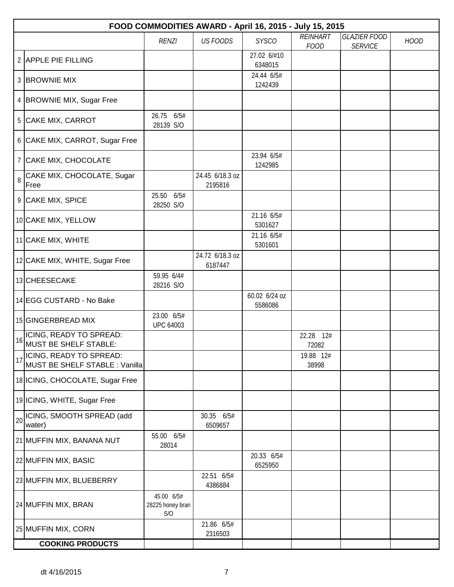|    | FOOD COMMODITIES AWARD - April 16, 2015 - July 15, 2015   |                                       |                            |                          |                                |                                       |             |  |  |  |
|----|-----------------------------------------------------------|---------------------------------------|----------------------------|--------------------------|--------------------------------|---------------------------------------|-------------|--|--|--|
|    |                                                           | <b>RENZI</b>                          | <b>US FOODS</b>            | <b>SYSCO</b>             | <b>REINHART</b><br><b>FOOD</b> | <b>GLAZIER FOOD</b><br><b>SERVICE</b> | <b>HOOD</b> |  |  |  |
|    | 2 APPLE PIE FILLING                                       |                                       |                            | 27.02 6/#10<br>6348015   |                                |                                       |             |  |  |  |
|    | 3 BROWNIE MIX                                             |                                       |                            | 24.44 6/5#<br>1242439    |                                |                                       |             |  |  |  |
|    | 4 BROWNIE MIX, Sugar Free                                 |                                       |                            |                          |                                |                                       |             |  |  |  |
|    | 5 CAKE MIX, CARROT                                        | 26.75 6/5#<br>28139 S/O               |                            |                          |                                |                                       |             |  |  |  |
|    | 6 CAKE MIX, CARROT, Sugar Free                            |                                       |                            |                          |                                |                                       |             |  |  |  |
|    | 7 CAKE MIX, CHOCOLATE                                     |                                       |                            | 23.94 6/5#<br>1242985    |                                |                                       |             |  |  |  |
| 8  | CAKE MIX, CHOCOLATE, Sugar<br>Free                        |                                       | 24.45 6/18.3 oz<br>2195816 |                          |                                |                                       |             |  |  |  |
|    | 9 CAKE MIX, SPICE                                         | 25.50 6/5#<br>28250 S/O               |                            |                          |                                |                                       |             |  |  |  |
|    | 10 CAKE MIX, YELLOW                                       |                                       |                            | 21.16 6/5#<br>5301627    |                                |                                       |             |  |  |  |
|    | 11 CAKE MIX, WHITE                                        |                                       |                            | 21.16 6/5#<br>5301601    |                                |                                       |             |  |  |  |
|    | 12 CAKE MIX, WHITE, Sugar Free                            |                                       | 24.72 6/18.3 oz<br>6187447 |                          |                                |                                       |             |  |  |  |
|    | 13 CHEESECAKE                                             | 59.95 6/4#<br>28216 S/O               |                            |                          |                                |                                       |             |  |  |  |
|    | 14 EGG CUSTARD - No Bake                                  |                                       |                            | 60.02 6/24 oz<br>5586086 |                                |                                       |             |  |  |  |
|    | 15 GINGERBREAD MIX                                        | 23.00 6/5#<br><b>UPC 64003</b>        |                            |                          |                                |                                       |             |  |  |  |
| 16 | ICING, READY TO SPREAD:<br><b>MUST BE SHELF STABLE:</b>   |                                       |                            |                          | 22.28<br>12#<br>72082          |                                       |             |  |  |  |
| 17 | ICING, READY TO SPREAD:<br>MUST BE SHELF STABLE : Vanilla |                                       |                            |                          | 19.88 12#<br>38998             |                                       |             |  |  |  |
|    | 18 ICING, CHOCOLATE, Sugar Free                           |                                       |                            |                          |                                |                                       |             |  |  |  |
|    | 19 ICING, WHITE, Sugar Free                               |                                       |                            |                          |                                |                                       |             |  |  |  |
| 20 | ICING, SMOOTH SPREAD (add<br>water)                       |                                       | 30.35 6/5#<br>6509657      |                          |                                |                                       |             |  |  |  |
|    | 21 MUFFIN MIX, BANANA NUT                                 | 55.00 6/5#<br>28014                   |                            |                          |                                |                                       |             |  |  |  |
|    | 22 MUFFIN MIX, BASIC                                      |                                       |                            | 20.33 6/5#<br>6525950    |                                |                                       |             |  |  |  |
|    | 23 MUFFIN MIX, BLUEBERRY                                  |                                       | 22.51 6/5#<br>4386884      |                          |                                |                                       |             |  |  |  |
|    | 24 MUFFIN MIX, BRAN                                       | 45.00 6/5#<br>28225 honey bran<br>S/O |                            |                          |                                |                                       |             |  |  |  |
|    | 25 MUFFIN MIX, CORN                                       |                                       | 21.86 6/5#<br>2316503      |                          |                                |                                       |             |  |  |  |
|    | <b>COOKING PRODUCTS</b>                                   |                                       |                            |                          |                                |                                       |             |  |  |  |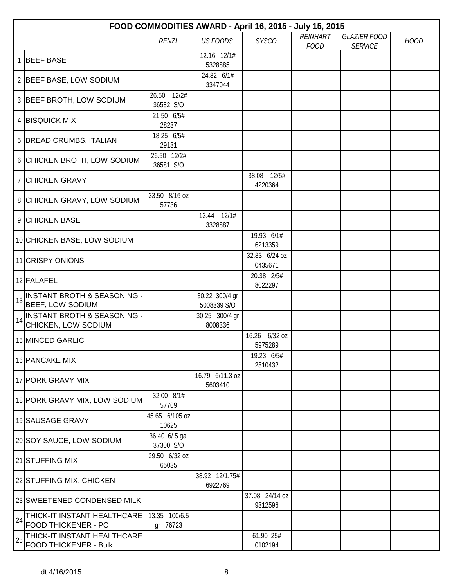|    | FOOD COMMODITIES AWARD - April 16, 2015 - July 15, 2015    |                             |                               |                           |                                |                                       |             |  |  |  |
|----|------------------------------------------------------------|-----------------------------|-------------------------------|---------------------------|--------------------------------|---------------------------------------|-------------|--|--|--|
|    |                                                            | <b>RENZI</b>                | <b>US FOODS</b>               | <b>SYSCO</b>              | <b>REINHART</b><br><b>FOOD</b> | <b>GLAZIER FOOD</b><br><b>SERVICE</b> | <b>HOOD</b> |  |  |  |
|    | 1 BEEF BASE                                                |                             | 12.16 12/1#<br>5328885        |                           |                                |                                       |             |  |  |  |
|    | 2 BEEF BASE, LOW SODIUM                                    |                             | 24.82 6/1#<br>3347044         |                           |                                |                                       |             |  |  |  |
|    | 3 BEEF BROTH, LOW SODIUM                                   | 26.50 12/2#<br>36582 S/O    |                               |                           |                                |                                       |             |  |  |  |
|    | 4   BISQUICK MIX                                           | 21.50 6/5#<br>28237         |                               |                           |                                |                                       |             |  |  |  |
|    | 5 BREAD CRUMBS, ITALIAN                                    | 18.25 6/5#<br>29131         |                               |                           |                                |                                       |             |  |  |  |
|    | 6 CHICKEN BROTH, LOW SODIUM                                | 26.50 12/2#<br>36581 S/O    |                               |                           |                                |                                       |             |  |  |  |
|    | 7 CHICKEN GRAVY                                            |                             |                               | 38.08 12/5#<br>4220364    |                                |                                       |             |  |  |  |
|    | 8 CHICKEN GRAVY, LOW SODIUM                                | 33.50 8/16 oz<br>57736      |                               |                           |                                |                                       |             |  |  |  |
|    | 9 CHICKEN BASE                                             |                             | 13.44 12/1#<br>3328887        |                           |                                |                                       |             |  |  |  |
|    | 10 CHICKEN BASE, LOW SODIUM                                |                             |                               | 19.93 6/1#<br>6213359     |                                |                                       |             |  |  |  |
|    | 11 CRISPY ONIONS                                           |                             |                               | 32.83 6/24 oz<br>0435671  |                                |                                       |             |  |  |  |
|    | 12 FALAFEL                                                 |                             |                               | 20.38 2/5#<br>8022297     |                                |                                       |             |  |  |  |
| 13 | <b>INSTANT BROTH &amp; SEASONING -</b><br>BEEF, LOW SODIUM |                             | 30.22 300/4 gr<br>5008339 S/O |                           |                                |                                       |             |  |  |  |
| 14 | INSTANT BROTH & SEASONING -<br>CHICKEN, LOW SODIUM         |                             | 30.25 300/4 gr<br>8008336     |                           |                                |                                       |             |  |  |  |
|    | 15 MINCED GARLIC                                           |                             |                               | 16.26 6/32 oz<br>5975289  |                                |                                       |             |  |  |  |
|    | 16 PANCAKE MIX                                             |                             |                               | 19.23 6/5#<br>2810432     |                                |                                       |             |  |  |  |
|    | 17 PORK GRAVY MIX                                          |                             | 16.79 6/11.3 oz<br>5603410    |                           |                                |                                       |             |  |  |  |
|    | 18 PORK GRAVY MIX, LOW SODIUM                              | 32.00 8/1#<br>57709         |                               |                           |                                |                                       |             |  |  |  |
|    | 19 SAUSAGE GRAVY                                           | 45.65 6/105 oz<br>10625     |                               |                           |                                |                                       |             |  |  |  |
|    | 20 SOY SAUCE, LOW SODIUM                                   | 36.40 6/.5 gal<br>37300 S/O |                               |                           |                                |                                       |             |  |  |  |
|    | 21 STUFFING MIX                                            | 29.50 6/32 oz<br>65035      |                               |                           |                                |                                       |             |  |  |  |
|    | 22 STUFFING MIX, CHICKEN                                   |                             | 38.92 12/1.75#<br>6922769     |                           |                                |                                       |             |  |  |  |
|    | 23 SWEETENED CONDENSED MILK                                |                             |                               | 37.08 24/14 oz<br>9312596 |                                |                                       |             |  |  |  |
| 24 | THICK-IT INSTANT HEALTHCARE<br>FOOD THICKENER - PC         | 13.35 100/6.5<br>gr 76723   |                               |                           |                                |                                       |             |  |  |  |
| 25 | THICK-IT INSTANT HEALTHCARE<br>FOOD THICKENER - Bulk       |                             |                               | 61.90 25#<br>0102194      |                                |                                       |             |  |  |  |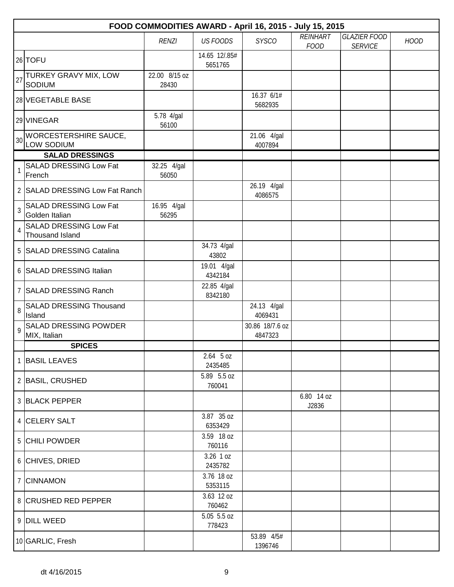|    | FOOD COMMODITIES AWARD - April 16, 2015 - July 15, 2015 |                        |                          |                            |                                |                                       |             |  |  |  |
|----|---------------------------------------------------------|------------------------|--------------------------|----------------------------|--------------------------------|---------------------------------------|-------------|--|--|--|
|    |                                                         | <b>RENZI</b>           | <b>US FOODS</b>          | <b>SYSCO</b>               | <b>REINHART</b><br><b>FOOD</b> | <b>GLAZIER FOOD</b><br><b>SERVICE</b> | <b>HOOD</b> |  |  |  |
|    | 26 TOFU                                                 |                        | 14.65 12/.85#<br>5651765 |                            |                                |                                       |             |  |  |  |
| 27 | TURKEY GRAVY MIX, LOW<br>SODIUM                         | 22.00 8/15 oz<br>28430 |                          |                            |                                |                                       |             |  |  |  |
|    | 28 VEGETABLE BASE                                       |                        |                          | 16.37 6/1#<br>5682935      |                                |                                       |             |  |  |  |
|    | 29 VINEGAR                                              | 5.78 4/gal<br>56100    |                          |                            |                                |                                       |             |  |  |  |
| 30 | WORCESTERSHIRE SAUCE,<br>LOW SODIUM                     |                        |                          | 21.06 4/gal<br>4007894     |                                |                                       |             |  |  |  |
|    | <b>SALAD DRESSINGS</b>                                  |                        |                          |                            |                                |                                       |             |  |  |  |
| 1  | <b>SALAD DRESSING Low Fat</b><br>French                 | 32.25 4/gal<br>56050   |                          |                            |                                |                                       |             |  |  |  |
|    | 2 SALAD DRESSING Low Fat Ranch                          |                        |                          | 26.19 4/gal<br>4086575     |                                |                                       |             |  |  |  |
| 3  | SALAD DRESSING Low Fat<br>Golden Italian                | 16.95 4/gal<br>56295   |                          |                            |                                |                                       |             |  |  |  |
| 4  | SALAD DRESSING Low Fat<br>Thousand Island               |                        |                          |                            |                                |                                       |             |  |  |  |
|    | 5 SALAD DRESSING Catalina                               |                        | 34.73 4/gal<br>43802     |                            |                                |                                       |             |  |  |  |
|    | 6 SALAD DRESSING Italian                                |                        | 19.01 4/gal<br>4342184   |                            |                                |                                       |             |  |  |  |
|    | 7 SALAD DRESSING Ranch                                  |                        | 22.85 4/gal<br>8342180   |                            |                                |                                       |             |  |  |  |
| 8  | <b>SALAD DRESSING Thousand</b><br>Island                |                        |                          | 24.13 4/gal<br>4069431     |                                |                                       |             |  |  |  |
| 9  | SALAD DRESSING POWDER<br>MIX, Italian                   |                        |                          | 30.86 18/7.6 oz<br>4847323 |                                |                                       |             |  |  |  |
|    | <b>SPICES</b>                                           |                        |                          |                            |                                |                                       |             |  |  |  |
|    | 1 BASIL LEAVES                                          |                        | $2.64$ 5 oz<br>2435485   |                            |                                |                                       |             |  |  |  |
|    | 2 BASIL, CRUSHED                                        |                        | 5.89 5.5 oz<br>760041    |                            |                                |                                       |             |  |  |  |
|    | 3 BLACK PEPPER                                          |                        |                          |                            | 6.80 14 oz<br>J2836            |                                       |             |  |  |  |
|    | 4 CELERY SALT                                           |                        | 3.87 35 oz<br>6353429    |                            |                                |                                       |             |  |  |  |
|    | 5 CHILI POWDER                                          |                        | 3.59 18 oz<br>760116     |                            |                                |                                       |             |  |  |  |
|    | 6 CHIVES, DRIED                                         |                        | 3.26 1 oz<br>2435782     |                            |                                |                                       |             |  |  |  |
|    | 7 CINNAMON                                              |                        | 3.76 18 oz<br>5353115    |                            |                                |                                       |             |  |  |  |
|    | 8 CRUSHED RED PEPPER                                    |                        | 3.63 12 oz<br>760462     |                            |                                |                                       |             |  |  |  |
|    | 9 DILL WEED                                             |                        | 5.05 5.5 oz<br>778423    |                            |                                |                                       |             |  |  |  |
|    | 10 GARLIC, Fresh                                        |                        |                          | 53.89 4/5#<br>1396746      |                                |                                       |             |  |  |  |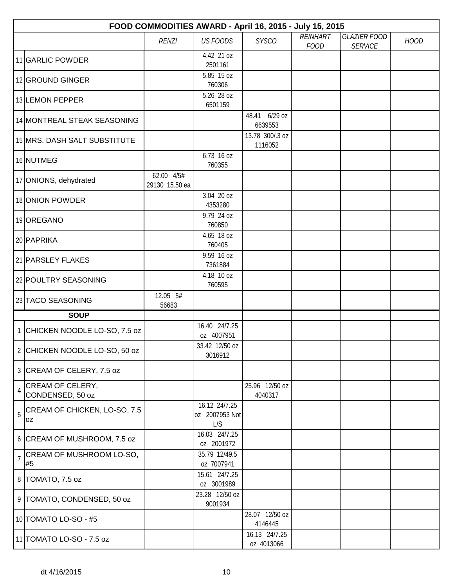|                | FOOD COMMODITIES AWARD - April 16, 2015 - July 15, 2015 |                              |                                        |                             |                                |                                       |             |  |  |
|----------------|---------------------------------------------------------|------------------------------|----------------------------------------|-----------------------------|--------------------------------|---------------------------------------|-------------|--|--|
|                |                                                         | <b>RENZI</b>                 | <b>US FOODS</b>                        | <b>SYSCO</b>                | <b>REINHART</b><br><b>FOOD</b> | <b>GLAZIER FOOD</b><br><b>SERVICE</b> | <b>HOOD</b> |  |  |
|                | 11 GARLIC POWDER                                        |                              | 4.42 21 oz<br>2501161                  |                             |                                |                                       |             |  |  |
|                | 12 GROUND GINGER                                        |                              | 5.85 15 oz<br>760306                   |                             |                                |                                       |             |  |  |
|                | 13 LEMON PEPPER                                         |                              | 5.26 28 oz<br>6501159                  |                             |                                |                                       |             |  |  |
|                | 14 MONTREAL STEAK SEASONING                             |                              |                                        | 48.41 6/29 oz<br>6639553    |                                |                                       |             |  |  |
|                | 15 MRS. DASH SALT SUBSTITUTE                            |                              |                                        | 13.78 300/.3 oz<br>1116052  |                                |                                       |             |  |  |
|                | 16 NUTMEG                                               |                              | 6.73 16 oz<br>760355                   |                             |                                |                                       |             |  |  |
|                | 17 ONIONS, dehydrated                                   | 62.00 4/5#<br>29130 15.50 ea |                                        |                             |                                |                                       |             |  |  |
|                | 18 ONION POWDER                                         |                              | 3.04 20 oz<br>4353280                  |                             |                                |                                       |             |  |  |
|                | 19 OREGANO                                              |                              | 9.79 24 oz<br>760850                   |                             |                                |                                       |             |  |  |
|                | 20 PAPRIKA                                              |                              | 4.65 18 oz<br>760405                   |                             |                                |                                       |             |  |  |
|                | 21 PARSLEY FLAKES                                       |                              | 9.59 16 oz<br>7361884                  |                             |                                |                                       |             |  |  |
|                | 22 POULTRY SEASONING                                    |                              | 4.18 10 oz<br>760595                   |                             |                                |                                       |             |  |  |
|                | 23 TACO SEASONING                                       | 12.05 5#<br>56683            |                                        |                             |                                |                                       |             |  |  |
|                | <b>SOUP</b>                                             |                              |                                        |                             |                                |                                       |             |  |  |
|                | 1 CHICKEN NOODLE LO-SO, 7.5 oz                          |                              | 16.40 24/7.25<br>oz 4007951            |                             |                                |                                       |             |  |  |
|                | 2 CHICKEN NOODLE LO-SO, 50 oz                           |                              | 33.42 12/50 oz<br>3016912              |                             |                                |                                       |             |  |  |
|                | 3 CREAM OF CELERY, 7.5 oz                               |                              |                                        |                             |                                |                                       |             |  |  |
| 4              | <b>CREAM OF CELERY,</b><br>CONDENSED, 50 oz             |                              |                                        | 25.96 12/50 oz<br>4040317   |                                |                                       |             |  |  |
| 5              | CREAM OF CHICKEN, LO-SO, 7.5<br>0Z                      |                              | 16.12 24/7.25<br>oz 2007953 Not<br>L/S |                             |                                |                                       |             |  |  |
|                | 6 CREAM OF MUSHROOM, 7.5 oz                             |                              | 16.03 24/7.25<br>oz 2001972            |                             |                                |                                       |             |  |  |
| $\overline{1}$ | CREAM OF MUSHROOM LO-SO,<br>#5                          |                              | 35.79 12/49.5<br>oz 7007941            |                             |                                |                                       |             |  |  |
|                | 8 TOMATO, 7.5 oz                                        |                              | 15.61 24/7.25<br>oz 3001989            |                             |                                |                                       |             |  |  |
|                | 9 TOMATO, CONDENSED, 50 oz                              |                              | 23.28 12/50 oz<br>9001934              |                             |                                |                                       |             |  |  |
|                | 10 TOMATO LO-SO - #5                                    |                              |                                        | 28.07 12/50 oz<br>4146445   |                                |                                       |             |  |  |
|                | 11 TOMATO LO-SO - 7.5 oz                                |                              |                                        | 16.13 24/7.25<br>oz 4013066 |                                |                                       |             |  |  |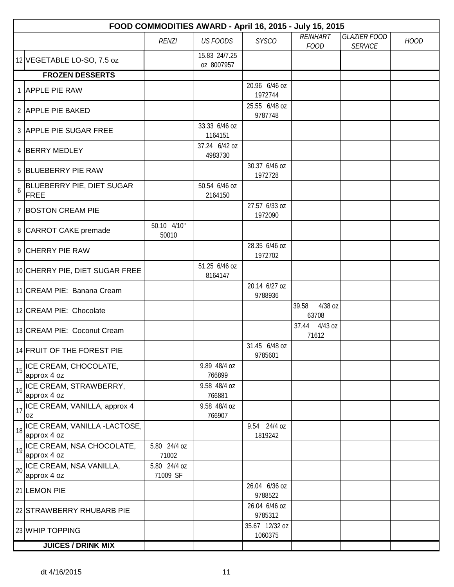|    | FOOD COMMODITIES AWARD - April 16, 2015 - July 15, 2015 |                          |                             |                           |                                |                                       |             |  |  |  |
|----|---------------------------------------------------------|--------------------------|-----------------------------|---------------------------|--------------------------------|---------------------------------------|-------------|--|--|--|
|    |                                                         | <b>RENZI</b>             | <b>US FOODS</b>             | <b>SYSCO</b>              | <b>REINHART</b><br><b>FOOD</b> | <b>GLAZIER FOOD</b><br><b>SERVICE</b> | <b>HOOD</b> |  |  |  |
|    | 12 VEGETABLE LO-SO, 7.5 oz                              |                          | 15.83 24/7.25<br>oz 8007957 |                           |                                |                                       |             |  |  |  |
|    | <b>FROZEN DESSERTS</b>                                  |                          |                             |                           |                                |                                       |             |  |  |  |
|    | 1 APPLE PIE RAW                                         |                          |                             | 20.96 6/46 oz<br>1972744  |                                |                                       |             |  |  |  |
|    | 2 APPLE PIE BAKED                                       |                          |                             | 25.55 6/48 oz<br>9787748  |                                |                                       |             |  |  |  |
|    | 3 APPLE PIE SUGAR FREE                                  |                          | 33.33 6/46 oz<br>1164151    |                           |                                |                                       |             |  |  |  |
|    | 4 BERRY MEDLEY                                          |                          | 37.24 6/42 oz<br>4983730    |                           |                                |                                       |             |  |  |  |
|    | 5 BLUEBERRY PIE RAW                                     |                          |                             | 30.37 6/46 oz<br>1972728  |                                |                                       |             |  |  |  |
|    | BLUEBERRY PIE, DIET SUGAR<br>$6$ FREE                   |                          | 50.54 6/46 oz<br>2164150    |                           |                                |                                       |             |  |  |  |
|    | 7 BOSTON CREAM PIE                                      |                          |                             | 27.57 6/33 oz<br>1972090  |                                |                                       |             |  |  |  |
|    | 8 CARROT CAKE premade                                   | 50.10 4/10"<br>50010     |                             |                           |                                |                                       |             |  |  |  |
|    | 9 CHERRY PIE RAW                                        |                          |                             | 28.35 6/46 oz<br>1972702  |                                |                                       |             |  |  |  |
|    | 10 CHERRY PIE, DIET SUGAR FREE                          |                          | 51.25 6/46 oz<br>8164147    |                           |                                |                                       |             |  |  |  |
|    | 11 CREAM PIE: Banana Cream                              |                          |                             | 20.14 6/27 oz<br>9788936  |                                |                                       |             |  |  |  |
|    | 12 CREAM PIE: Chocolate                                 |                          |                             |                           | 39.58<br>4/38 oz<br>63708      |                                       |             |  |  |  |
|    | 13 CREAM PIE: Coconut Cream                             |                          |                             |                           | 37.44 4/43 oz<br>71612         |                                       |             |  |  |  |
|    | 14 FRUIT OF THE FOREST PIE                              |                          |                             | 31.45 6/48 oz<br>9785601  |                                |                                       |             |  |  |  |
| 15 | ICE CREAM, CHOCOLATE,<br>approx 4 oz                    |                          | 9.89 48/4 oz<br>766899      |                           |                                |                                       |             |  |  |  |
| 16 | ICE CREAM, STRAWBERRY,<br>approx 4 oz                   |                          | 9.58 48/4 oz<br>766881      |                           |                                |                                       |             |  |  |  |
| 17 | ICE CREAM, VANILLA, approx 4<br>0Z                      |                          | 9.58 48/4 oz<br>766907      |                           |                                |                                       |             |  |  |  |
|    | 18 ICE CREAM, VANILLA -LACTOSE,<br>approx 4 oz          |                          |                             | 9.54 24/4 oz<br>1819242   |                                |                                       |             |  |  |  |
|    | 19 ICE CREAM, NSA CHOCOLATE,<br>approx 4 oz             | 5.80 24/4 oz<br>71002    |                             |                           |                                |                                       |             |  |  |  |
|    | 20 ICE CREAM, NSA VANILLA,<br>approx 4 oz               | 5.80 24/4 oz<br>71009 SF |                             |                           |                                |                                       |             |  |  |  |
|    | 21 LEMON PIE                                            |                          |                             | 26.04 6/36 oz<br>9788522  |                                |                                       |             |  |  |  |
|    | 22 STRAWBERRY RHUBARB PIE                               |                          |                             | 26.04 6/46 oz<br>9785312  |                                |                                       |             |  |  |  |
|    | 23 WHIP TOPPING                                         |                          |                             | 35.67 12/32 oz<br>1060375 |                                |                                       |             |  |  |  |
|    | <b>JUICES / DRINK MIX</b>                               |                          |                             |                           |                                |                                       |             |  |  |  |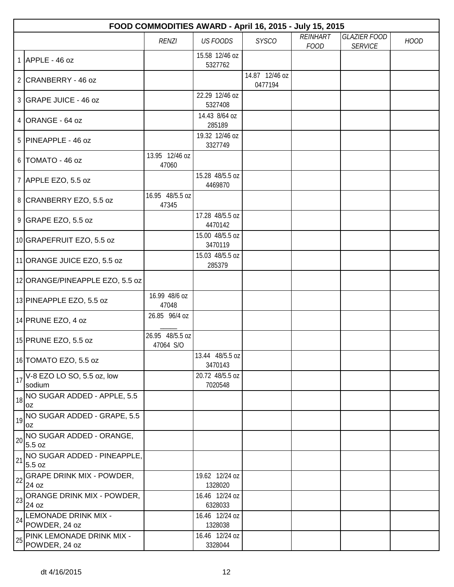|    | FOOD COMMODITIES AWARD - April 16, 2015 - July 15, 2015 |                              |                            |                           |                                |                                       |             |  |  |
|----|---------------------------------------------------------|------------------------------|----------------------------|---------------------------|--------------------------------|---------------------------------------|-------------|--|--|
|    |                                                         | <b>RENZI</b>                 | <b>US FOODS</b>            | <b>SYSCO</b>              | <b>REINHART</b><br><b>FOOD</b> | <b>GLAZIER FOOD</b><br><b>SERVICE</b> | <b>HOOD</b> |  |  |
|    | $1$ APPLE - 46 oz                                       |                              | 15.58 12/46 oz<br>5327762  |                           |                                |                                       |             |  |  |
|    | 2 CRANBERRY - 46 oz                                     |                              |                            | 14.87 12/46 oz<br>0477194 |                                |                                       |             |  |  |
|    | 3 GRAPE JUICE - 46 oz                                   |                              | 22.29 12/46 oz<br>5327408  |                           |                                |                                       |             |  |  |
|    | $4$ ORANGE - 64 oz                                      |                              | 14.43 8/64 oz<br>285189    |                           |                                |                                       |             |  |  |
|    | $5$ PINEAPPLE - 46 oz                                   |                              | 19.32 12/46 oz<br>3327749  |                           |                                |                                       |             |  |  |
|    | $6$ TOMATO - 46 oz                                      | 13.95 12/46 oz<br>47060      |                            |                           |                                |                                       |             |  |  |
|    | 7 APPLE EZO, 5.5 oz                                     |                              | 15.28 48/5.5 oz<br>4469870 |                           |                                |                                       |             |  |  |
|    | 8 CRANBERRY EZO, 5.5 oz                                 | 16.95 48/5.5 oz<br>47345     |                            |                           |                                |                                       |             |  |  |
|    | 9 GRAPE EZO, 5.5 oz                                     |                              | 17.28 48/5.5 oz<br>4470142 |                           |                                |                                       |             |  |  |
|    | 10 GRAPEFRUIT EZO, 5.5 oz                               |                              | 15.00 48/5.5 oz<br>3470119 |                           |                                |                                       |             |  |  |
|    | 11 ORANGE JUICE EZO, 5.5 oz                             |                              | 15.03 48/5.5 oz<br>285379  |                           |                                |                                       |             |  |  |
|    | 12 ORANGE/PINEAPPLE EZO, 5.5 oz                         |                              |                            |                           |                                |                                       |             |  |  |
|    | 13 PINEAPPLE EZO, 5.5 oz                                | 16.99 48/6 oz<br>47048       |                            |                           |                                |                                       |             |  |  |
|    | 14 PRUNE EZO, 4 oz                                      | 26.85 96/4 oz                |                            |                           |                                |                                       |             |  |  |
|    | 15 PRUNE EZO, 5.5 oz                                    | 26.95 48/5.5 oz<br>47064 S/O |                            |                           |                                |                                       |             |  |  |
|    | 16 TOMATO EZO, 5.5 oz                                   |                              | 13.44 48/5.5 oz<br>3470143 |                           |                                |                                       |             |  |  |
| 17 | V-8 EZO LO SO, 5.5 oz, low<br>sodium                    |                              | 20.72 48/5.5 oz<br>7020548 |                           |                                |                                       |             |  |  |
|    | $\big _{18}\big $ NO SUGAR ADDED - APPLE, 5.5<br>loz    |                              |                            |                           |                                |                                       |             |  |  |
|    | $\frac{1}{19}$ NO SUGAR ADDED - GRAPE, 5.5<br>0Z        |                              |                            |                           |                                |                                       |             |  |  |
| 20 | NO SUGAR ADDED - ORANGE,<br>5.5 oz                      |                              |                            |                           |                                |                                       |             |  |  |
| 21 | NO SUGAR ADDED - PINEAPPLE,<br>5.5 oz                   |                              |                            |                           |                                |                                       |             |  |  |
| 22 | <b>GRAPE DRINK MIX - POWDER,</b><br>24 oz               |                              | 19.62 12/24 oz<br>1328020  |                           |                                |                                       |             |  |  |
| 23 | ORANGE DRINK MIX - POWDER,<br>24 oz                     |                              | 16.46 12/24 oz<br>6328033  |                           |                                |                                       |             |  |  |
| 24 | LEMONADE DRINK MIX -<br>POWDER, 24 oz                   |                              | 16.46 12/24 oz<br>1328038  |                           |                                |                                       |             |  |  |
| 25 | PINK LEMONADE DRINK MIX -<br>POWDER, 24 oz              |                              | 16.46 12/24 oz<br>3328044  |                           |                                |                                       |             |  |  |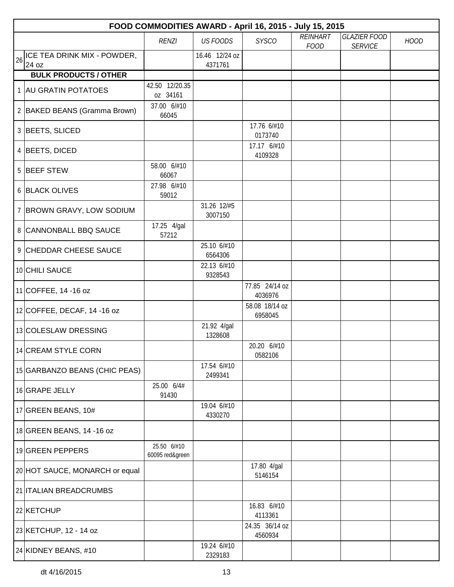|    | FOOD COMMODITIES AWARD - April 16, 2015 - July 15, 2015 |                                |                           |                           |                                |                                       |             |  |  |  |
|----|---------------------------------------------------------|--------------------------------|---------------------------|---------------------------|--------------------------------|---------------------------------------|-------------|--|--|--|
|    |                                                         | <b>RENZI</b>                   | <b>US FOODS</b>           | <b>SYSCO</b>              | <b>REINHART</b><br><b>FOOD</b> | <b>GLAZIER FOOD</b><br><b>SERVICE</b> | <b>HOOD</b> |  |  |  |
| 26 | ICE TEA DRINK MIX - POWDER,<br>24 oz                    |                                | 16.46 12/24 oz<br>4371761 |                           |                                |                                       |             |  |  |  |
|    | <b>BULK PRODUCTS / OTHER</b>                            |                                |                           |                           |                                |                                       |             |  |  |  |
|    | 1 AU GRATIN POTATOES                                    | 42.50 12/20.35<br>oz 34161     |                           |                           |                                |                                       |             |  |  |  |
|    | 2 BAKED BEANS (Gramma Brown)                            | 37.00 6/#10<br>66045           |                           |                           |                                |                                       |             |  |  |  |
|    | 3 BEETS, SLICED                                         |                                |                           | 17.76 6/#10<br>0173740    |                                |                                       |             |  |  |  |
|    | 4 BEETS, DICED                                          |                                |                           | 17.17 6/#10<br>4109328    |                                |                                       |             |  |  |  |
|    | 5 BEEF STEW                                             | 58.00 6/#10<br>66067           |                           |                           |                                |                                       |             |  |  |  |
|    | 6 BLACK OLIVES                                          | 27.98 6/#10<br>59012           |                           |                           |                                |                                       |             |  |  |  |
|    | 7 BROWN GRAVY, LOW SODIUM                               |                                | 31.26 12/#5<br>3007150    |                           |                                |                                       |             |  |  |  |
|    | 8 CANNONBALL BBQ SAUCE                                  | 17.25 4/gal<br>57212           |                           |                           |                                |                                       |             |  |  |  |
|    | 9 CHEDDAR CHEESE SAUCE                                  |                                | 25.10 6/#10<br>6564306    |                           |                                |                                       |             |  |  |  |
|    | 10 CHILI SAUCE                                          |                                | 22.13 6/#10<br>9328543    |                           |                                |                                       |             |  |  |  |
|    | 11 COFFEE, 14 -16 oz                                    |                                |                           | 77.85 24/14 oz<br>4036976 |                                |                                       |             |  |  |  |
|    | 12 COFFEE, DECAF, 14 -16 oz                             |                                |                           | 58.08 18/14 oz<br>6958045 |                                |                                       |             |  |  |  |
|    | 13 COLESLAW DRESSING                                    |                                | 21.92 4/gal<br>1328608    |                           |                                |                                       |             |  |  |  |
|    | 14 CREAM STYLE CORN                                     |                                |                           | 20.20 6/#10<br>0582106    |                                |                                       |             |  |  |  |
|    | 15 GARBANZO BEANS (CHIC PEAS)                           |                                | 17.54 6/#10<br>2499341    |                           |                                |                                       |             |  |  |  |
|    | 16 GRAPE JELLY                                          | 25.00 6/4#<br>91430            |                           |                           |                                |                                       |             |  |  |  |
|    | 17 GREEN BEANS, $10#$                                   |                                | 19.04 6/#10<br>4330270    |                           |                                |                                       |             |  |  |  |
|    | 18 GREEN BEANS, 14 -16 oz                               |                                |                           |                           |                                |                                       |             |  |  |  |
|    | 19 GREEN PEPPERS                                        | 25.50 6/#10<br>60095 red&green |                           |                           |                                |                                       |             |  |  |  |
|    | 20 HOT SAUCE, MONARCH or equal                          |                                |                           | 17.80 4/gal<br>5146154    |                                |                                       |             |  |  |  |
|    | 21 ITALIAN BREADCRUMBS                                  |                                |                           |                           |                                |                                       |             |  |  |  |
|    | 22 KETCHUP                                              |                                |                           | 16.83 6/#10<br>4113361    |                                |                                       |             |  |  |  |
|    | 23 KETCHUP, 12 - 14 oz                                  |                                |                           | 24.35 36/14 oz<br>4560934 |                                |                                       |             |  |  |  |
|    | 24 KIDNEY BEANS, #10                                    |                                | 19.24 6/#10<br>2329183    |                           |                                |                                       |             |  |  |  |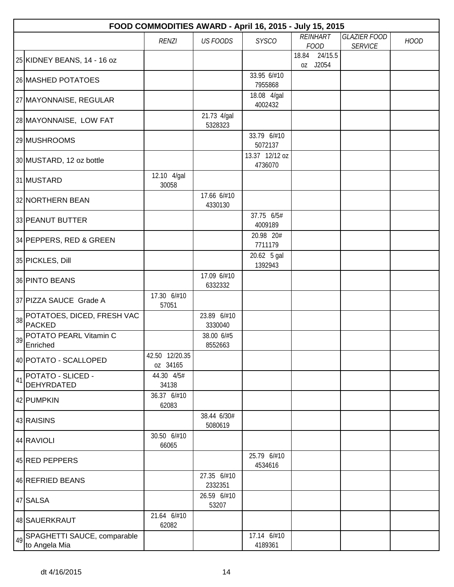|    |                                                 | FOOD COMMODITIES AWARD - April 16, 2015 - July 15, 2015 |                        |                           |                                |                                       |             |
|----|-------------------------------------------------|---------------------------------------------------------|------------------------|---------------------------|--------------------------------|---------------------------------------|-------------|
|    |                                                 | <b>RENZI</b>                                            | <b>US FOODS</b>        | <b>SYSCO</b>              | <b>REINHART</b><br><b>FOOD</b> | <b>GLAZIER FOOD</b><br><b>SERVICE</b> | <b>HOOD</b> |
|    | 25 KIDNEY BEANS, 14 - 16 oz                     |                                                         |                        |                           | 18.84<br>24/15.5<br>oz J2054   |                                       |             |
|    | 26 MASHED POTATOES                              |                                                         |                        | 33.95 6/#10<br>7955868    |                                |                                       |             |
|    | 27 MAYONNAISE, REGULAR                          |                                                         |                        | 18.08 4/gal<br>4002432    |                                |                                       |             |
|    | 28 MAYONNAISE, LOW FAT                          |                                                         | 21.73 4/gal<br>5328323 |                           |                                |                                       |             |
|    | 29 MUSHROOMS                                    |                                                         |                        | 33.79 6/#10<br>5072137    |                                |                                       |             |
|    | 30 MUSTARD, 12 oz bottle                        |                                                         |                        | 13.37 12/12 oz<br>4736070 |                                |                                       |             |
|    | 31 MUSTARD                                      | 12.10 4/gal<br>30058                                    |                        |                           |                                |                                       |             |
|    | 32 NORTHERN BEAN                                |                                                         | 17.66 6/#10<br>4330130 |                           |                                |                                       |             |
|    | 33 PEANUT BUTTER                                |                                                         |                        | 37.75 6/5#<br>4009189     |                                |                                       |             |
|    | 34 PEPPERS, RED & GREEN                         |                                                         |                        | 20.98 20#<br>7711179      |                                |                                       |             |
|    | 35 PICKLES, Dill                                |                                                         |                        | 20.62 5 gal<br>1392943    |                                |                                       |             |
|    | 36 PINTO BEANS                                  |                                                         | 17.09 6/#10<br>6332332 |                           |                                |                                       |             |
|    | 37 PIZZA SAUCE Grade A                          | 17.30 6/#10<br>57051                                    |                        |                           |                                |                                       |             |
|    | 38 POTATOES, DICED, FRESH VAC<br><b>PACKED</b>  |                                                         | 23.89 6/#10<br>3330040 |                           |                                |                                       |             |
| 39 | POTATO PEARL Vitamin C<br>Enriched              |                                                         | 38.00 6/#5<br>8552663  |                           |                                |                                       |             |
|    | 40 POTATO - SCALLOPED                           | 42.50 12/20.35<br>oz 34165                              |                        |                           |                                |                                       |             |
| 41 | POTATO - SLICED -<br><b>DEHYRDATED</b>          | 44.30 4/5#<br>34138                                     |                        |                           |                                |                                       |             |
|    | 42 PUMPKIN                                      | 36.37 6/#10<br>62083                                    |                        |                           |                                |                                       |             |
|    | 43 RAISINS                                      |                                                         | 38.44 6/30#<br>5080619 |                           |                                |                                       |             |
|    | 44 RAVIOLI                                      | 30.50 6/#10<br>66065                                    |                        |                           |                                |                                       |             |
|    | 45 RED PEPPERS                                  |                                                         |                        | 25.79 6/#10<br>4534616    |                                |                                       |             |
|    | 46 REFRIED BEANS                                |                                                         | 27.35 6/#10<br>2332351 |                           |                                |                                       |             |
|    | 47 SALSA                                        |                                                         | 26.59 6/#10<br>53207   |                           |                                |                                       |             |
|    | 48 SAUERKRAUT                                   | 21.64 6/#10<br>62082                                    |                        |                           |                                |                                       |             |
|    | 49 SPAGHETTI SAUCE, comparable<br>to Angela Mia |                                                         |                        | 17.14 6/#10<br>4189361    |                                |                                       |             |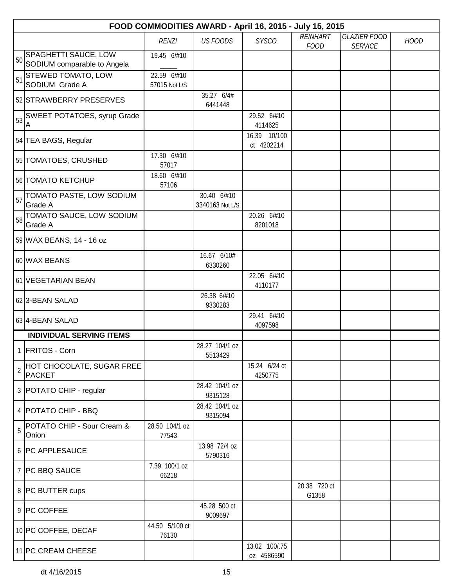|                | FOOD COMMODITIES AWARD - April 16, 2015 - July 15, 2015 |                              |                                |                             |                                |                                       |             |  |  |
|----------------|---------------------------------------------------------|------------------------------|--------------------------------|-----------------------------|--------------------------------|---------------------------------------|-------------|--|--|
|                |                                                         | RENZI                        | <b>US FOODS</b>                | <b>SYSCO</b>                | <b>REINHART</b><br><b>FOOD</b> | <b>GLAZIER FOOD</b><br><b>SERVICE</b> | <b>HOOD</b> |  |  |
| 50             | SPAGHETTI SAUCE, LOW<br>SODIUM comparable to Angela     | 19.45 6/#10                  |                                |                             |                                |                                       |             |  |  |
| 51             | <b>STEWED TOMATO, LOW</b><br>SODIUM Grade A             | 22.59 6/#10<br>57015 Not L/S |                                |                             |                                |                                       |             |  |  |
|                | 52 STRAWBERRY PRESERVES                                 |                              | 35.27 6/4#<br>6441448          |                             |                                |                                       |             |  |  |
|                | SWEET POTATOES, syrup Grade<br>Α                        |                              |                                | 29.52 6/#10<br>4114625      |                                |                                       |             |  |  |
|                | 54 TEA BAGS, Regular                                    |                              |                                | 16.39 10/100<br>ct 4202214  |                                |                                       |             |  |  |
|                | 55 TOMATOES, CRUSHED                                    | 17.30 6/#10<br>57017         |                                |                             |                                |                                       |             |  |  |
|                | 56 TOMATO KETCHUP                                       | 18.60 6/#10<br>57106         |                                |                             |                                |                                       |             |  |  |
|                | 57 TOMATO PASTE, LOW SODIUM<br>Grade A                  |                              | 30.40 6/#10<br>3340163 Not L/S |                             |                                |                                       |             |  |  |
| 58             | TOMATO SAUCE, LOW SODIUM<br>Grade A                     |                              |                                | 20.26 6/#10<br>8201018      |                                |                                       |             |  |  |
|                | 59 WAX BEANS, 14 - 16 oz                                |                              |                                |                             |                                |                                       |             |  |  |
|                | 60 WAX BEANS                                            |                              | 16.67 6/10#<br>6330260         |                             |                                |                                       |             |  |  |
|                | 61 VEGETARIAN BEAN                                      |                              |                                | 22.05 6/#10<br>4110177      |                                |                                       |             |  |  |
|                | 62 3-BEAN SALAD                                         |                              | 26.38 6/#10<br>9330283         |                             |                                |                                       |             |  |  |
|                | 63 4-BEAN SALAD                                         |                              |                                | 29.41 6/#10<br>4097598      |                                |                                       |             |  |  |
|                | <b>INDIVIDUAL SERVING ITEMS</b>                         |                              |                                |                             |                                |                                       |             |  |  |
|                | 1 FRITOS - Corn                                         |                              | 28.27 104/1 oz<br>5513429      |                             |                                |                                       |             |  |  |
| $\overline{2}$ | HOT CHOCOLATE, SUGAR FREE<br><b>PACKET</b>              |                              |                                | 15.24 6/24 ct<br>4250775    |                                |                                       |             |  |  |
|                | 3 POTATO CHIP - regular                                 |                              | 28.42 104/1 oz<br>9315128      |                             |                                |                                       |             |  |  |
|                | 4   POTATO CHIP - BBQ                                   |                              | 28.42 104/1 oz<br>9315094      |                             |                                |                                       |             |  |  |
| 5              | POTATO CHIP - Sour Cream &<br>Onion                     | 28.50 104/1 oz<br>77543      |                                |                             |                                |                                       |             |  |  |
|                | 6 PC APPLESAUCE                                         |                              | 13.98 72/4 oz<br>5790316       |                             |                                |                                       |             |  |  |
|                | 7   PC BBQ SAUCE                                        | 7.39 100/1 oz<br>66218       |                                |                             |                                |                                       |             |  |  |
|                | 8 PC BUTTER cups                                        |                              |                                |                             | 20.38 720 ct<br>G1358          |                                       |             |  |  |
|                | 9 PC COFFEE                                             |                              | 45.28 500 ct<br>9009697        |                             |                                |                                       |             |  |  |
|                | 10 PC COFFEE, DECAF                                     | 44.50 5/100 ct<br>76130      |                                |                             |                                |                                       |             |  |  |
|                | 11 PC CREAM CHEESE                                      |                              |                                | 13.02 100/.75<br>oz 4586590 |                                |                                       |             |  |  |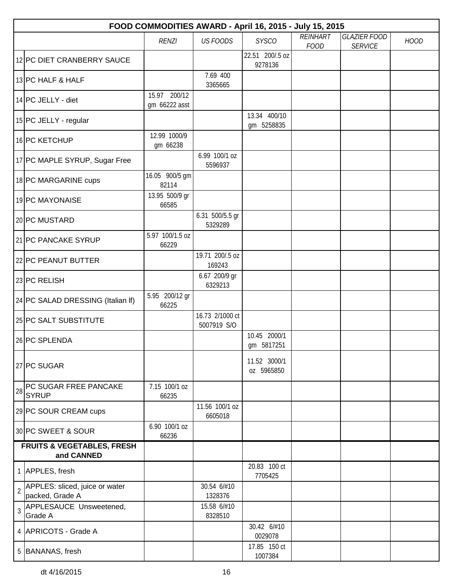|                | FOOD COMMODITIES AWARD - April 16, 2015 - July 15, 2015 |                               |                                |                            |                                |                                       |             |  |  |  |
|----------------|---------------------------------------------------------|-------------------------------|--------------------------------|----------------------------|--------------------------------|---------------------------------------|-------------|--|--|--|
|                |                                                         | <b>RENZI</b>                  | <b>US FOODS</b>                | <b>SYSCO</b>               | <b>REINHART</b><br><b>FOOD</b> | <b>GLAZIER FOOD</b><br><b>SERVICE</b> | <b>HOOD</b> |  |  |  |
|                | 12 PC DIET CRANBERRY SAUCE                              |                               |                                | 22.51 200/.5 oz<br>9278136 |                                |                                       |             |  |  |  |
|                | 13 PC HALF & HALF                                       |                               | 7.69 400<br>3365665            |                            |                                |                                       |             |  |  |  |
|                | 14 PC JELLY - diet                                      | 15.97 200/12<br>gm 66222 asst |                                |                            |                                |                                       |             |  |  |  |
|                | 15 PC JELLY - regular                                   |                               |                                | 13.34 400/10<br>gm 5258835 |                                |                                       |             |  |  |  |
|                | 16 PC KETCHUP                                           | 12.99 1000/9<br>gm 66238      |                                |                            |                                |                                       |             |  |  |  |
|                | 17 PC MAPLE SYRUP, Sugar Free                           |                               | 6.99 100/1 oz<br>5596937       |                            |                                |                                       |             |  |  |  |
|                | 18 PC MARGARINE cups                                    | 16.05 900/5 gm<br>82114       |                                |                            |                                |                                       |             |  |  |  |
|                | 19 PC MAYONAISE                                         | 13.95 500/9 gr<br>66585       |                                |                            |                                |                                       |             |  |  |  |
|                | 20 PC MUSTARD                                           |                               | 6.31 500/5.5 gr<br>5329289     |                            |                                |                                       |             |  |  |  |
|                | 21 PC PANCAKE SYRUP                                     | 5.97 100/1.5 oz<br>66229      |                                |                            |                                |                                       |             |  |  |  |
|                | 22 PC PEANUT BUTTER                                     |                               | 19.71 200/.5 oz<br>169243      |                            |                                |                                       |             |  |  |  |
|                | 23 PC RELISH                                            |                               | 6.67 200/9 gr<br>6329213       |                            |                                |                                       |             |  |  |  |
|                | 24 PC SALAD DRESSING (Italian If)                       | 5.95 200/12 gr<br>66225       |                                |                            |                                |                                       |             |  |  |  |
|                | 25 PC SALT SUBSTITUTE                                   |                               | 16.73 2/1000 ct<br>5007919 S/O |                            |                                |                                       |             |  |  |  |
|                | 26 PC SPLENDA                                           |                               |                                | 10.45 2000/1<br>gm 5817251 |                                |                                       |             |  |  |  |
|                | 27 PC SUGAR                                             |                               |                                | 11.52 3000/1<br>oz 5965850 |                                |                                       |             |  |  |  |
| 28             | PC SUGAR FREE PANCAKE<br><b>SYRUP</b>                   | 7.15 100/1 oz<br>66235        |                                |                            |                                |                                       |             |  |  |  |
|                | 29 PC SOUR CREAM cups                                   |                               | 11.56 100/1 oz<br>6605018      |                            |                                |                                       |             |  |  |  |
|                | 30 PC SWEET & SOUR                                      | 6.90 100/1 oz<br>66236        |                                |                            |                                |                                       |             |  |  |  |
|                | <b>FRUITS &amp; VEGETABLES, FRESH</b><br>and CANNED     |                               |                                |                            |                                |                                       |             |  |  |  |
|                | 1 APPLES, fresh                                         |                               |                                | 20.83 100 ct<br>7705425    |                                |                                       |             |  |  |  |
| $\overline{2}$ | APPLES: sliced, juice or water<br>packed, Grade A       |                               | 30.54 6/#10<br>1328376         |                            |                                |                                       |             |  |  |  |
| $\overline{3}$ | APPLESAUCE Unsweetened,<br>Grade A                      |                               | 15.58 6/#10<br>8328510         |                            |                                |                                       |             |  |  |  |
|                | 4 APRICOTS - Grade A                                    |                               |                                | 30.42 6/#10<br>0029078     |                                |                                       |             |  |  |  |
|                | 5 BANANAS, fresh                                        |                               |                                | 17.85 150 ct<br>1007384    |                                |                                       |             |  |  |  |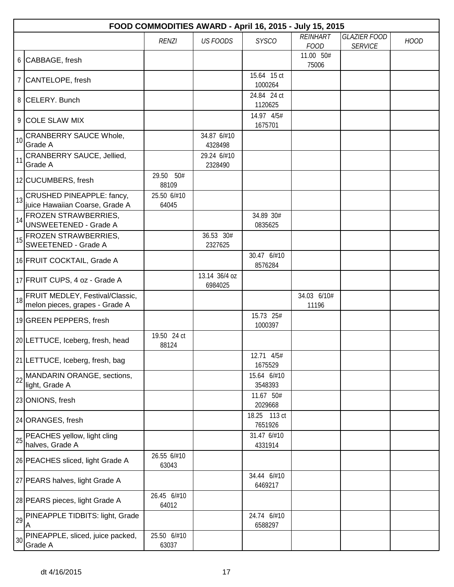|    | FOOD COMMODITIES AWARD - April 16, 2015 - July 15, 2015              |                      |                          |                         |                                |                                       |             |  |  |  |
|----|----------------------------------------------------------------------|----------------------|--------------------------|-------------------------|--------------------------------|---------------------------------------|-------------|--|--|--|
|    |                                                                      | <b>RENZI</b>         | <b>US FOODS</b>          | <b>SYSCO</b>            | <b>REINHART</b><br><b>FOOD</b> | <b>GLAZIER FOOD</b><br><b>SERVICE</b> | <b>HOOD</b> |  |  |  |
|    | 6 CABBAGE, fresh                                                     |                      |                          |                         | 11.00 50#<br>75006             |                                       |             |  |  |  |
|    | 7 CANTELOPE, fresh                                                   |                      |                          | 15.64 15 ct<br>1000264  |                                |                                       |             |  |  |  |
|    | 8 CELERY. Bunch                                                      |                      |                          | 24.84 24 ct<br>1120625  |                                |                                       |             |  |  |  |
|    | 9 COLE SLAW MIX                                                      |                      |                          | 14.97 4/5#<br>1675701   |                                |                                       |             |  |  |  |
| 10 | CRANBERRY SAUCE Whole,<br>Grade A                                    |                      | 34.87 6/#10<br>4328498   |                         |                                |                                       |             |  |  |  |
| 11 | CRANBERRY SAUCE, Jellied,<br>Grade A                                 |                      | 29.24 6/#10<br>2328490   |                         |                                |                                       |             |  |  |  |
|    | 12 CUCUMBERS, fresh                                                  | 29.50 50#<br>88109   |                          |                         |                                |                                       |             |  |  |  |
|    | 13 CRUSHED PINEAPPLE: fancy,<br>juice Hawaiian Coarse, Grade A       | 25.50 6/#10<br>64045 |                          |                         |                                |                                       |             |  |  |  |
| 14 | <b>FROZEN STRAWBERRIES,</b><br><b>UNSWEETENED - Grade A</b>          |                      |                          | 34.89 30#<br>0835625    |                                |                                       |             |  |  |  |
|    | 15 FROZEN STRAWBERRIES,<br><b>SWEETENED - Grade A</b>                |                      | 36.53 30#<br>2327625     |                         |                                |                                       |             |  |  |  |
|    | 16 FRUIT COCKTAIL, Grade A                                           |                      |                          | 30.47 6/#10<br>8576284  |                                |                                       |             |  |  |  |
|    | 17 FRUIT CUPS, 4 oz - Grade A                                        |                      | 13.14 36/4 oz<br>6984025 |                         |                                |                                       |             |  |  |  |
|    | 18 FRUIT MEDLEY, Festival/Classic,<br>melon pieces, grapes - Grade A |                      |                          |                         | 34.03 6/10#<br>11196           |                                       |             |  |  |  |
|    | 19 GREEN PEPPERS, fresh                                              |                      |                          | 15.73 25#<br>1000397    |                                |                                       |             |  |  |  |
|    | 20 LETTUCE, Iceberg, fresh, head                                     | 19.50 24 ct<br>88124 |                          |                         |                                |                                       |             |  |  |  |
|    | 21 LETTUCE, Iceberg, fresh, bag                                      |                      |                          | 12.71 4/5#<br>1675529   |                                |                                       |             |  |  |  |
| 22 | MANDARIN ORANGE, sections,<br>light, Grade A                         |                      |                          | 15.64 6/#10<br>3548393  |                                |                                       |             |  |  |  |
|    | 23 ONIONS, fresh                                                     |                      |                          | 11.67 50#<br>2029668    |                                |                                       |             |  |  |  |
|    | 24 ORANGES, fresh                                                    |                      |                          | 18.25 113 ct<br>7651926 |                                |                                       |             |  |  |  |
| 25 | PEACHES yellow, light cling<br>halves, Grade A                       |                      |                          | 31.47 6/#10<br>4331914  |                                |                                       |             |  |  |  |
|    | 26 PEACHES sliced, light Grade A                                     | 26.55 6/#10<br>63043 |                          |                         |                                |                                       |             |  |  |  |
|    | 27 PEARS halves, light Grade A                                       |                      |                          | 34.44 6/#10<br>6469217  |                                |                                       |             |  |  |  |
|    | 28 PEARS pieces, light Grade A                                       | 26.45 6/#10<br>64012 |                          |                         |                                |                                       |             |  |  |  |
| 29 | PINEAPPLE TIDBITS: light, Grade<br>A                                 |                      |                          | 24.74 6/#10<br>6588297  |                                |                                       |             |  |  |  |
| 30 | PINEAPPLE, sliced, juice packed,<br>Grade A                          | 25.50 6/#10<br>63037 |                          |                         |                                |                                       |             |  |  |  |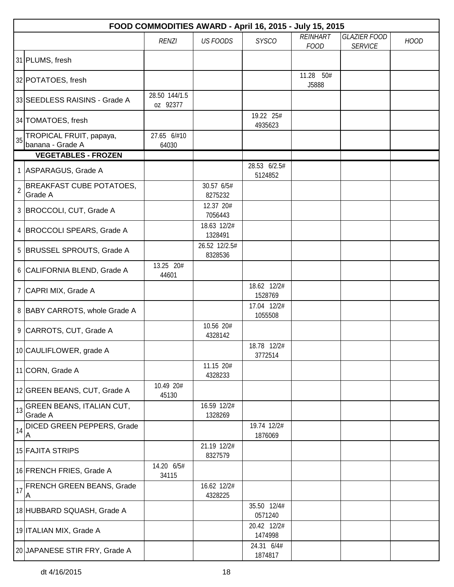|                | FOOD COMMODITIES AWARD - April 16, 2015 - July 15, 2015 |                           |                          |                         |                                |                                       |             |  |  |  |
|----------------|---------------------------------------------------------|---------------------------|--------------------------|-------------------------|--------------------------------|---------------------------------------|-------------|--|--|--|
|                |                                                         | <b>RENZI</b>              | <b>US FOODS</b>          | <b>SYSCO</b>            | <b>REINHART</b><br><b>FOOD</b> | <b>GLAZIER FOOD</b><br><b>SERVICE</b> | <b>HOOD</b> |  |  |  |
|                | 31 PLUMS, fresh                                         |                           |                          |                         |                                |                                       |             |  |  |  |
|                | 32 POTATOES, fresh                                      |                           |                          |                         | 11.28 50#<br>J5888             |                                       |             |  |  |  |
|                | 33 SEEDLESS RAISINS - Grade A                           | 28.50 144/1.5<br>oz 92377 |                          |                         |                                |                                       |             |  |  |  |
|                | 34 TOMATOES, fresh                                      |                           |                          | 19.22 25#<br>4935623    |                                |                                       |             |  |  |  |
| 35             | TROPICAL FRUIT, papaya,<br>banana - Grade A             | 27.65 6/#10<br>64030      |                          |                         |                                |                                       |             |  |  |  |
|                | <b>VEGETABLES - FROZEN</b>                              |                           |                          |                         |                                |                                       |             |  |  |  |
|                | 1 ASPARAGUS, Grade A                                    |                           |                          | 28.53 6/2.5#<br>5124852 |                                |                                       |             |  |  |  |
| $\overline{2}$ | <b>BREAKFAST CUBE POTATOES,</b><br>Grade A              |                           | 30.57 6/5#<br>8275232    |                         |                                |                                       |             |  |  |  |
|                | 3 BROCCOLI, CUT, Grade A                                |                           | 12.37 20#<br>7056443     |                         |                                |                                       |             |  |  |  |
|                | 4 BROCCOLI SPEARS, Grade A                              |                           | 18.63 12/2#<br>1328491   |                         |                                |                                       |             |  |  |  |
|                | 5 BRUSSEL SPROUTS, Grade A                              |                           | 26.52 12/2.5#<br>8328536 |                         |                                |                                       |             |  |  |  |
|                | 6 CALIFORNIA BLEND, Grade A                             | 13.25 20#<br>44601        |                          |                         |                                |                                       |             |  |  |  |
|                | 7 CAPRI MIX, Grade A                                    |                           |                          | 18.62 12/2#<br>1528769  |                                |                                       |             |  |  |  |
|                | 8 BABY CARROTS, whole Grade A                           |                           |                          | 17.04 12/2#<br>1055508  |                                |                                       |             |  |  |  |
|                | 9 CARROTS, CUT, Grade A                                 |                           | 10.56 20#<br>4328142     |                         |                                |                                       |             |  |  |  |
|                | 10 CAULIFLOWER, grade A                                 |                           |                          | 18.78 12/2#<br>3772514  |                                |                                       |             |  |  |  |
|                | 11 CORN, Grade A                                        |                           | 11.15 20#<br>4328233     |                         |                                |                                       |             |  |  |  |
|                | 12 GREEN BEANS, CUT, Grade A                            | 10.49 20#<br>45130        |                          |                         |                                |                                       |             |  |  |  |
| 13             | <b>GREEN BEANS, ITALIAN CUT,</b><br>Grade A             |                           | 16.59 12/2#<br>1328269   |                         |                                |                                       |             |  |  |  |
| 14             | <b>DICED GREEN PEPPERS, Grade</b><br>Α                  |                           |                          | 19.74 12/2#<br>1876069  |                                |                                       |             |  |  |  |
|                | 15 FAJITA STRIPS                                        |                           | 21.19 12/2#<br>8327579   |                         |                                |                                       |             |  |  |  |
|                | 16 FRENCH FRIES, Grade A                                | 14.20 6/5#<br>34115       |                          |                         |                                |                                       |             |  |  |  |
| 17             | <b>FRENCH GREEN BEANS, Grade</b><br>Α                   |                           | 16.62 12/2#<br>4328225   |                         |                                |                                       |             |  |  |  |
|                | 18 HUBBARD SQUASH, Grade A                              |                           |                          | 35.50 12/4#<br>0571240  |                                |                                       |             |  |  |  |
|                | 19 ITALIAN MIX, Grade A                                 |                           |                          | 20.42 12/2#<br>1474998  |                                |                                       |             |  |  |  |
|                | 20 JAPANESE STIR FRY, Grade A                           |                           |                          | 24.31 6/4#<br>1874817   |                                |                                       |             |  |  |  |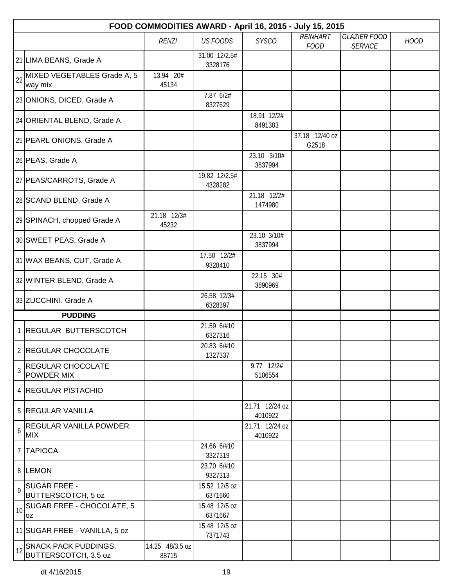|    | FOOD COMMODITIES AWARD - April 16, 2015 - July 15, 2015 |                          |                          |                           |                         |                     |             |  |  |  |
|----|---------------------------------------------------------|--------------------------|--------------------------|---------------------------|-------------------------|---------------------|-------------|--|--|--|
|    |                                                         | <b>RENZI</b>             | <b>US FOODS</b>          | <b>SYSCO</b>              | <b>REINHART</b>         | <b>GLAZIER FOOD</b> | <b>HOOD</b> |  |  |  |
|    | 21 LIMA BEANS, Grade A                                  |                          | 31.00 12/2.5#<br>3328176 |                           | <b>FOOD</b>             | <b>SERVICE</b>      |             |  |  |  |
| 22 | MIXED VEGETABLES Grade A, 5<br>way mix                  | 13.94 20#<br>45134       |                          |                           |                         |                     |             |  |  |  |
|    | 23 ONIONS, DICED, Grade A                               |                          | 7.87 6/2#<br>8327629     |                           |                         |                     |             |  |  |  |
|    | 24 ORIENTAL BLEND, Grade A                              |                          |                          | 18.91 12/2#<br>8491383    |                         |                     |             |  |  |  |
|    | 25 PEARL ONIONS. Grade A                                |                          |                          |                           | 37.18 12/40 oz<br>G2518 |                     |             |  |  |  |
|    | 26 PEAS, Grade A                                        |                          |                          | 23.10 3/10#<br>3837994    |                         |                     |             |  |  |  |
|    | 27 PEAS/CARROTS, Grade A                                |                          | 19.82 12/2.5#<br>4328282 |                           |                         |                     |             |  |  |  |
|    | 28 SCAND BLEND, Grade A                                 |                          |                          | 21.18 12/2#<br>1474980    |                         |                     |             |  |  |  |
|    | 29 SPINACH, chopped Grade A                             | 21.18 12/3#<br>45232     |                          |                           |                         |                     |             |  |  |  |
|    | 30 SWEET PEAS, Grade A                                  |                          |                          | 23.10 3/10#<br>3837994    |                         |                     |             |  |  |  |
|    | 31 WAX BEANS, CUT, Grade A                              |                          | 17.50 12/2#<br>9328410   |                           |                         |                     |             |  |  |  |
|    | 32 WINTER BLEND, Grade A                                |                          |                          | 22.15 30#<br>3890969      |                         |                     |             |  |  |  |
|    | 33 ZUCCHINI. Grade A                                    |                          | 26.58 12/3#<br>6328397   |                           |                         |                     |             |  |  |  |
|    | <b>PUDDING</b>                                          |                          |                          |                           |                         |                     |             |  |  |  |
|    | 1 REGULAR BUTTERSCOTCH                                  |                          | 21.59 6/#10<br>6327316   |                           |                         |                     |             |  |  |  |
|    | 2 REGULAR CHOCOLATE                                     |                          | 20.83 6/#10<br>1327337   |                           |                         |                     |             |  |  |  |
| 3  | <b>REGULAR CHOCOLATE</b><br><b>POWDER MIX</b>           |                          |                          | 9.77 12/2#<br>5106554     |                         |                     |             |  |  |  |
|    | 4 REGULAR PISTACHIO                                     |                          |                          |                           |                         |                     |             |  |  |  |
|    | 5 REGULAR VANILLA                                       |                          |                          | 21.71 12/24 oz<br>4010922 |                         |                     |             |  |  |  |
| 6  | <b>REGULAR VANILLA POWDER</b><br><b>MIX</b>             |                          |                          | 21.71 12/24 oz<br>4010922 |                         |                     |             |  |  |  |
|    | 7 TAPIOCA                                               |                          | 24.66 6/#10<br>3327319   |                           |                         |                     |             |  |  |  |
|    | 8 LEMON                                                 |                          | 23.70 6/#10<br>9327313   |                           |                         |                     |             |  |  |  |
| 9  | <b>SUGAR FREE -</b><br><b>BUTTERSCOTCH, 5 oz</b>        |                          | 15.52 12/5 oz<br>6371660 |                           |                         |                     |             |  |  |  |
| 10 | <b>SUGAR FREE - CHOCOLATE, 5</b><br>loz                 |                          | 15.48 12/5 oz<br>6371667 |                           |                         |                     |             |  |  |  |
|    | 11 SUGAR FREE - VANILLA, 5 oz                           |                          | 15.48 12/5 oz<br>7371743 |                           |                         |                     |             |  |  |  |
| 12 | <b>SNACK PACK PUDDINGS,</b><br>BUTTERSCOTCH, 3.5 oz     | 14.25 48/3.5 oz<br>88715 |                          |                           |                         |                     |             |  |  |  |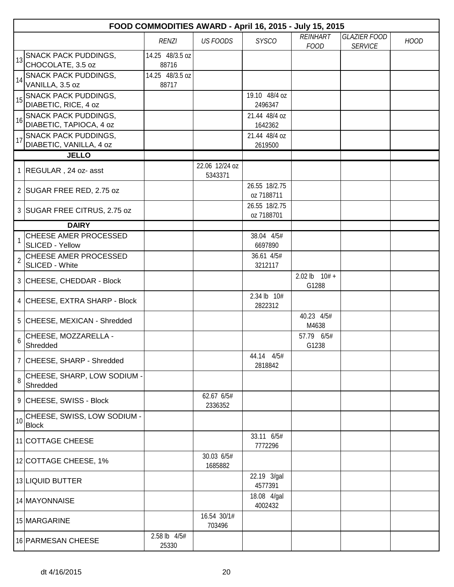|                | FOOD COMMODITIES AWARD - April 16, 2015 - July 15, 2015 |                          |                           |                             |                                |                                       |             |  |  |
|----------------|---------------------------------------------------------|--------------------------|---------------------------|-----------------------------|--------------------------------|---------------------------------------|-------------|--|--|
|                |                                                         | <b>RENZI</b>             | <b>US FOODS</b>           | <b>SYSCO</b>                | <b>REINHART</b><br><b>FOOD</b> | <b>GLAZIER FOOD</b><br><b>SERVICE</b> | <b>HOOD</b> |  |  |
|                | 13 SNACK PACK PUDDINGS,<br>CHOCOLATE, 3.5 oz            | 14.25 48/3.5 oz<br>88716 |                           |                             |                                |                                       |             |  |  |
|                | 14 SNACK PACK PUDDINGS,<br>VANILLA, 3.5 oz              | 14.25 48/3.5 oz<br>88717 |                           |                             |                                |                                       |             |  |  |
|                | 15 SNACK PACK PUDDINGS,<br>DIABETIC, RICE, 4 oz         |                          |                           | 19.10 48/4 oz<br>2496347    |                                |                                       |             |  |  |
|                | 16 SNACK PACK PUDDINGS,<br>DIABETIC, TAPIOCA, 4 oz      |                          |                           | 21.44 48/4 oz<br>1642362    |                                |                                       |             |  |  |
| 17             | <b>SNACK PACK PUDDINGS,</b><br>DIABETIC, VANILLA, 4 oz  |                          |                           | 21.44 48/4 oz<br>2619500    |                                |                                       |             |  |  |
|                | <b>JELLO</b>                                            |                          |                           |                             |                                |                                       |             |  |  |
|                | 1 REGULAR, 24 oz- asst                                  |                          | 22.06 12/24 oz<br>5343371 |                             |                                |                                       |             |  |  |
|                | 2 SUGAR FREE RED, 2.75 oz                               |                          |                           | 26.55 18/2.75<br>oz 7188711 |                                |                                       |             |  |  |
|                | 3 SUGAR FREE CITRUS, 2.75 oz                            |                          |                           | 26.55 18/2.75<br>oz 7188701 |                                |                                       |             |  |  |
|                | <b>DAIRY</b>                                            |                          |                           |                             |                                |                                       |             |  |  |
|                | CHEESE AMER PROCESSED<br><b>SLICED - Yellow</b>         |                          |                           | 38.04 4/5#<br>6697890       |                                |                                       |             |  |  |
| $\overline{2}$ | CHEESE AMER PROCESSED<br>SLICED - White                 |                          |                           | 36.61 4/5#<br>3212117       |                                |                                       |             |  |  |
|                | 3 CHEESE, CHEDDAR - Block                               |                          |                           |                             | $2.02$ lb $10# +$<br>G1288     |                                       |             |  |  |
|                | 4 CHEESE, EXTRA SHARP - Block                           |                          |                           | 2.34 lb 10#<br>2822312      |                                |                                       |             |  |  |
|                | 5 CHEESE, MEXICAN - Shredded                            |                          |                           |                             | 40.23 4/5#<br>M4638            |                                       |             |  |  |
| 6              | CHEESE, MOZZARELLA -<br>Shredded                        |                          |                           |                             | 57.79 6/5#<br>G1238            |                                       |             |  |  |
|                | 7 CHEESE, SHARP - Shredded                              |                          |                           | 44.14 4/5#<br>2818842       |                                |                                       |             |  |  |
| 8              | CHEESE, SHARP, LOW SODIUM -<br>Shredded                 |                          |                           |                             |                                |                                       |             |  |  |
|                | 9 CHEESE, SWISS - Block                                 |                          | 62.67 6/5#<br>2336352     |                             |                                |                                       |             |  |  |
| 10             | CHEESE, SWISS, LOW SODIUM -<br><b>Block</b>             |                          |                           |                             |                                |                                       |             |  |  |
|                | 11 COTTAGE CHEESE                                       |                          |                           | 33.11 6/5#<br>7772296       |                                |                                       |             |  |  |
|                | 12 COTTAGE CHEESE, 1%                                   |                          | 30.03 6/5#<br>1685882     |                             |                                |                                       |             |  |  |
|                | 13 LIQUID BUTTER                                        |                          |                           | 22.19 3/gal<br>4577391      |                                |                                       |             |  |  |
|                | 14 MAYONNAISE                                           |                          |                           | 18.08 4/gal<br>4002432      |                                |                                       |             |  |  |
|                | 15 MARGARINE                                            |                          | 16.54 30/1#<br>703496     |                             |                                |                                       |             |  |  |
|                | 16 PARMESAN CHEESE                                      | 2.58 lb 4/5#<br>25330    |                           |                             |                                |                                       |             |  |  |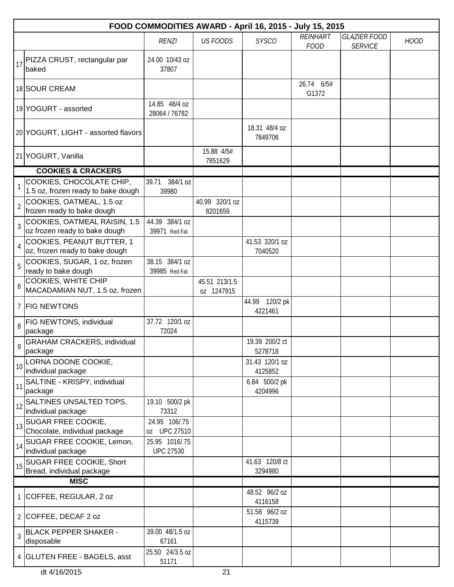|                | FOOD COMMODITIES AWARD - April 16, 2015 - July 15, 2015        |                                    |                             |                           |                                |                                       |             |  |  |
|----------------|----------------------------------------------------------------|------------------------------------|-----------------------------|---------------------------|--------------------------------|---------------------------------------|-------------|--|--|
|                |                                                                | <b>RENZI</b>                       | <b>US FOODS</b>             | <b>SYSCO</b>              | <b>REINHART</b><br><b>FOOD</b> | <b>GLAZIER FOOD</b><br><b>SERVICE</b> | <b>HOOD</b> |  |  |
| 17             | PIZZA CRUST, rectangular par<br>baked                          | 24.00 10/43 oz<br>37807            |                             |                           |                                |                                       |             |  |  |
|                | 18 SOUR CREAM                                                  |                                    |                             |                           | 26.74 6/5#<br>G1372            |                                       |             |  |  |
|                | 19 YOGURT - assorted                                           | 14.85 48/4 oz<br>28064 / 76782     |                             |                           |                                |                                       |             |  |  |
|                | 20 YOGURT, LIGHT - assorted flavors                            |                                    |                             | 18.31 48/4 oz<br>7849706  |                                |                                       |             |  |  |
|                | 21 YOGURT, Vanilla                                             |                                    | 15.88 4/5#<br>7851629       |                           |                                |                                       |             |  |  |
|                | <b>COOKIES &amp; CRACKERS</b>                                  |                                    |                             |                           |                                |                                       |             |  |  |
|                | COOKIES, CHOCOLATE CHIP,<br>1.5 oz, frozen ready to bake dough | 384/1 oz<br>39.71<br>39980         |                             |                           |                                |                                       |             |  |  |
| $\overline{2}$ | COOKIES, OATMEAL, 1.5 oz<br>frozen ready to bake dough         |                                    | 40.99 320/1 oz<br>8201659   |                           |                                |                                       |             |  |  |
| $\overline{3}$ | COOKIES, OATMEAL RAISIN, 1.5<br>oz frozen ready to bake dough  | 44.39 384/1 oz<br>39971 Red Fat    |                             |                           |                                |                                       |             |  |  |
| 4              | COOKIES, PEANUT BUTTER, 1<br>oz, frozen ready to bake dough    |                                    |                             | 41.53 320/1 oz<br>7040520 |                                |                                       |             |  |  |
| 5              | COOKIES, SUGAR, 1 oz, frozen<br>ready to bake dough            | 38.15 384/1 oz<br>39985 Red Fat    |                             |                           |                                |                                       |             |  |  |
| 6              | <b>COOKIES, WHITE CHIP</b><br>MACADAMIAN NUT, 1.5 oz, frozen   |                                    | 45.51 213/1.5<br>oz 1247915 |                           |                                |                                       |             |  |  |
|                | 7 FIG NEWTONS                                                  |                                    |                             | 44.99 120/2 pk<br>4221461 |                                |                                       |             |  |  |
| 8              | FIG NEWTONS, individual<br>package                             | 37.72 120/1 oz<br>72024            |                             |                           |                                |                                       |             |  |  |
| $\overline{9}$ | <b>GRAHAM CRACKERS, individual</b><br>package                  |                                    |                             | 19.39 200/2 ct<br>5278718 |                                |                                       |             |  |  |
| 10             | LORNA DOONE COOKIE,<br>individual package                      |                                    |                             | 31.43 120/1 oz<br>4125852 |                                |                                       |             |  |  |
| 11             | SALTINE - KRISPY, individual<br>package                        |                                    |                             | 6.84 500/2 pk<br>4204996  |                                |                                       |             |  |  |
| 12             | SALTINES UNSALTED TOPS,<br>individual package                  | 19.10 500/2 pk<br>73312            |                             |                           |                                |                                       |             |  |  |
| 13             | <b>SUGAR FREE COOKIE,</b><br>Chocolate, individual package     | 24.95 106/.75<br>oz UPC 27510      |                             |                           |                                |                                       |             |  |  |
| 14             | SUGAR FREE COOKIE, Lemon,<br>individual package                | 25.95 1016/.75<br><b>UPC 27530</b> |                             |                           |                                |                                       |             |  |  |
| 15             | SUGAR FREE COOKIE, Short<br>Bread, individual package          |                                    |                             | 41.63 120/8 ct<br>3294980 |                                |                                       |             |  |  |
|                | <b>MISC</b>                                                    |                                    |                             |                           |                                |                                       |             |  |  |
|                | 1 COFFEE, REGULAR, 2 oz                                        |                                    |                             | 48.52 96/2 oz<br>4116158  |                                |                                       |             |  |  |
|                | 2 COFFEE, DECAF 2 oz                                           |                                    |                             | 51.58 96/2 oz<br>4115739  |                                |                                       |             |  |  |
| 3              | <b>BLACK PEPPER SHAKER -</b><br>disposable                     | 39.00 48/1.5 oz<br>67161           |                             |                           |                                |                                       |             |  |  |
|                | 4 GLUTEN FREE - BAGELS, asst                                   | 25.50 24/3.5 oz<br>51171           |                             |                           |                                |                                       |             |  |  |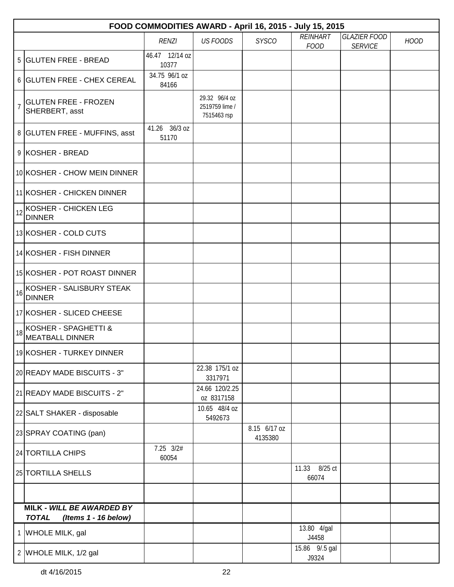|                | FOOD COMMODITIES AWARD - April 16, 2015 - July 15, 2015           |                        |                                 |                         |                                |                     |             |  |  |
|----------------|-------------------------------------------------------------------|------------------------|---------------------------------|-------------------------|--------------------------------|---------------------|-------------|--|--|
|                |                                                                   | <b>RENZI</b>           | <b>US FOODS</b>                 | <b>SYSCO</b>            | <b>REINHART</b><br><b>FOOD</b> | <b>GLAZIER FOOD</b> | <b>HOOD</b> |  |  |
|                | 5 GLUTEN FREE - BREAD                                             | 46.47 12/14 oz         |                                 |                         |                                | <b>SERVICE</b>      |             |  |  |
|                |                                                                   | 10377                  |                                 |                         |                                |                     |             |  |  |
|                | 6 GLUTEN FREE - CHEX CEREAL                                       | 34.75 96/1 oz<br>84166 |                                 |                         |                                |                     |             |  |  |
| $\overline{7}$ | <b>GLUTEN FREE - FROZEN</b>                                       |                        | 29.32 96/4 oz<br>2519759 lime / |                         |                                |                     |             |  |  |
|                | SHERBERT, asst                                                    |                        | 7515463 rsp                     |                         |                                |                     |             |  |  |
|                | 8 GLUTEN FREE - MUFFINS, asst                                     | 41.26 36/3 oz<br>51170 |                                 |                         |                                |                     |             |  |  |
|                | 9 KOSHER - BREAD                                                  |                        |                                 |                         |                                |                     |             |  |  |
|                | 10 KOSHER - CHOW MEIN DINNER                                      |                        |                                 |                         |                                |                     |             |  |  |
|                | 11 KOSHER - CHICKEN DINNER                                        |                        |                                 |                         |                                |                     |             |  |  |
| 12             | KOSHER - CHICKEN LEG<br><b>DINNER</b>                             |                        |                                 |                         |                                |                     |             |  |  |
|                | 13 KOSHER - COLD CUTS                                             |                        |                                 |                         |                                |                     |             |  |  |
|                | 14 KOSHER - FISH DINNER                                           |                        |                                 |                         |                                |                     |             |  |  |
|                | 15 KOSHER - POT ROAST DINNER                                      |                        |                                 |                         |                                |                     |             |  |  |
| 16             | KOSHER - SALISBURY STEAK<br><b>DINNER</b>                         |                        |                                 |                         |                                |                     |             |  |  |
|                | 17 KOSHER - SLICED CHEESE                                         |                        |                                 |                         |                                |                     |             |  |  |
| 18             | KOSHER - SPAGHETTI &<br><b>MEATBALL DINNER</b>                    |                        |                                 |                         |                                |                     |             |  |  |
|                | 19 KOSHER - TURKEY DINNER                                         |                        |                                 |                         |                                |                     |             |  |  |
|                | 20 READY MADE BISCUITS - 3"                                       |                        | 22.38 175/1 oz<br>3317971       |                         |                                |                     |             |  |  |
|                | 21 READY MADE BISCUITS - 2"                                       |                        | 24.66 120/2.25<br>oz 8317158    |                         |                                |                     |             |  |  |
|                | 22 SALT SHAKER - disposable                                       |                        | 10.65 48/4 oz<br>5492673        |                         |                                |                     |             |  |  |
|                | 23 SPRAY COATING (pan)                                            |                        |                                 | 8.15 6/17 oz<br>4135380 |                                |                     |             |  |  |
|                | 24 TORTILLA CHIPS                                                 | $7.25$ $3/2#$<br>60054 |                                 |                         |                                |                     |             |  |  |
|                | 25 TORTILLA SHELLS                                                |                        |                                 |                         | 11.33 8/25 ct<br>66074         |                     |             |  |  |
|                |                                                                   |                        |                                 |                         |                                |                     |             |  |  |
|                | MILK - WILL BE AWARDED BY<br><b>TOTAL</b><br>(Items 1 - 16 below) |                        |                                 |                         |                                |                     |             |  |  |
| 1              | WHOLE MILK, gal                                                   |                        |                                 |                         | 13.80 4/gal<br>J4458           |                     |             |  |  |
|                | 2 WHOLE MILK, 1/2 gal                                             |                        |                                 |                         | 15.86 9/.5 gal<br>J9324        |                     |             |  |  |